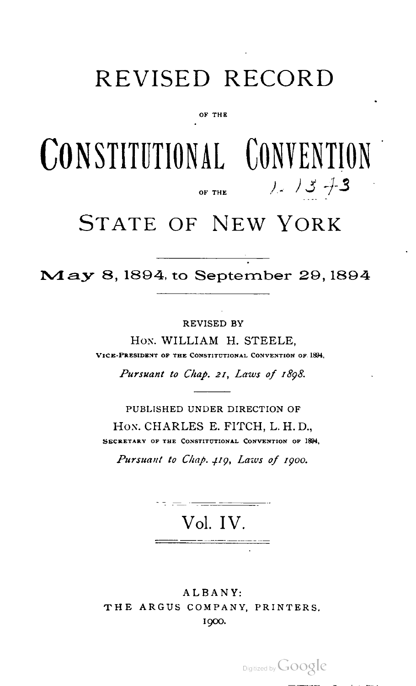# REVISED RECORD

OF THE

# CONSTITUTIONAL CONVENTION OF THE  $1/2/3$  +3

# STATE OF NEW YORK

May 8, 1894, to September 29, <sup>1894</sup>

REVISED BY

Hon. WILLIAM H. STEELE, VICE-PRESIDENT OF THE CONSTITUTIONAL CONVENTION OF 1894.

Pursuant to Chap. 21, Laws of 1898.

PUBLISHED UNDER DIRECTION OF Hon. CHARLES E. FITCH, L. H. D., SECRETARY OF THE CONSTITUTIONAL CONVENTION OF 1894,

Pursuant to Chap. 419, Laws of 1900.

Vol. IV.

ALBANY: THE ARGUS COMPANY, PRINTERS. I9OO.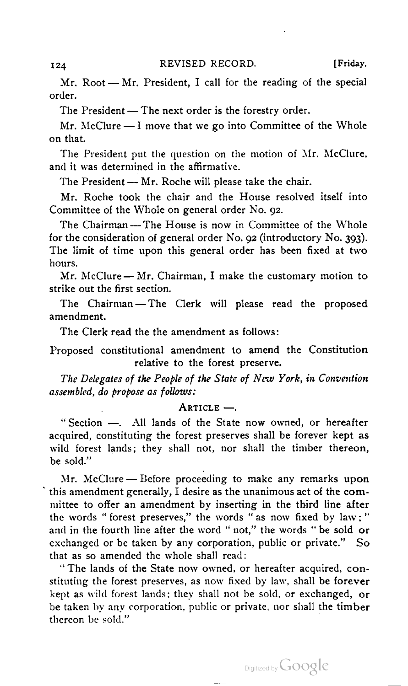Mr. Root — Mr. President, <sup>I</sup> call for the reading of the special Mr. Root — Mr. President, I call for the reading of<br>order.

The President — The next order is the forestry order.<br>Mr. McClure — I move that we go into Committee of the Whole on that.  $\mathbb{R}^n$  the motion of  $\mathbb{R}^n$  the motion of Mr. McClure,  $\mathbb{R}^n$ 

The President put the question on the motion of Mr. McClure, and it was determined in the affirmative.

The President - Mr. Roche will please take the chair.

Mr. Roche took the chair and the House resolved itself into<br>Committee of the Whole on general order No. 92.

The Chairman-The House is now in Committee of the Whole for the consideration of general order No. 92 (introductory No. 393). The limit of time upon this general order has been fixed at two<br>hours.

Mr. McClure - Mr. Chairman, I make the customary motion to strike out the first section.

The Chairman —The Clerk will please read the proposed amendment.

The Clerk read the the amendment as follows:

Proposed constitutional amendment to amend the Constitution<br>relative to the forest preserve.

The Delegates of the People of the State of New York, in Convention assembled, do propose as follows:<br>Article —.

"Section -. All lands of the State now owned, or hereafter acquired, constituting the forest preserves shall be forever kept as wild forest lands; they shall not, nor shall the timber thereon, be sold."

Mr. McClure — Before proceeding to make any remarks upon this amendment generally, <sup>I</sup> desire as the unanimous act of the com mittee to offer an amendment by inserting in the third line after the words " forest preserves," the words " as now fixed by law ; " and in the fourth line after the word " not," the words " be sold or exchanged or be taken by any corporation, public or private." So that as so amended the whole shall read:

" The lands of the State now owned, or hereafter acquired, con stituting the forest preserves, as now fixed by law, shall be forever kept as wild forest lands; they shall not be sold, or exchanged, or be taken by any corporation, public or private, nor shall the timber thereon be sold."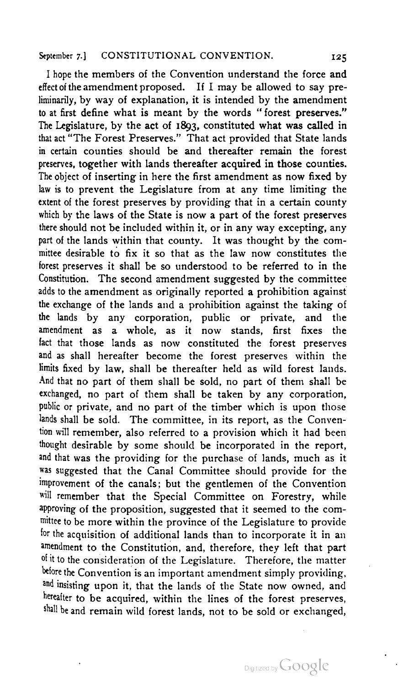<sup>I</sup> hope the members of the Convention understand the force and effect of the amendment proposed. If <sup>I</sup> may be allowed to say pre liminarily, by way of explanation, it is intended by the amendment to at first define what is meant by the words " forest preserves." The Legislature, by the act of 1893, constituted what was called in that act "The Forest Preserves." That act provided that State lands in certain counties should be and thereafter remain the forest preserves, together with lands thereafter acquired in those counties. The object of inserting in here the first amendment as now fixed by law is to prevent the Legislature from at any time limiting the extent of the forest preserves by providing that in a certain county which by the laws of the State is now a part of the forest preserves there should not be included within it, or in any way excepting, any part of the lands within that county. It was thought by the com mittee desirable to fix it so that as the law now constitutes the forest preserves it shall be so understood to be referred to in the Constitution. The second amendment suggested by the committee adds to the amendment as originally reported a prohibition against the exchange of the lands and a prohibition against the taking of the lands by any corporation, public or private, and the amendment as a whole, as it now stands, first fixes the fact that those lands as now constituted the forest preserves and as shall hereafter become the forest preserves within the limits fixed by law, shall be thereafter held as wild forest lands. And that no part of them shall be sold, no part of them shall be exchanged, no part of them shall be taken by any corporation, public or private, and no part of the timber which is upon those lands shall be sold. The committee, in its report, as the Convention will remember, also referred to a provision which it had been thought desirable by some should be incorporated in the report, and that was the providing for the purchase of lands, much as it was suggested that the Canal Committee should provide for the improvement of the canals; but the gentlemen of the Convention will remember that the Special Committee on Forestry, while approving of the proposition, suggested that it seemed to the com mittee to be more within the province of the Legislature to provide for the acquisition of additional lands than to incorporate it in an amendment to the Constitution, and, therefore, they left that part of it to the consideration of the Legislature. Therefore, the matter before the Convention is an important amendment simply providing, and insisting upon it, that the lands of the State now owned, and hereafter to be acquired, within the lines of the forest preserves, shall be and remain wild forest lands, not to be sold or exchanged,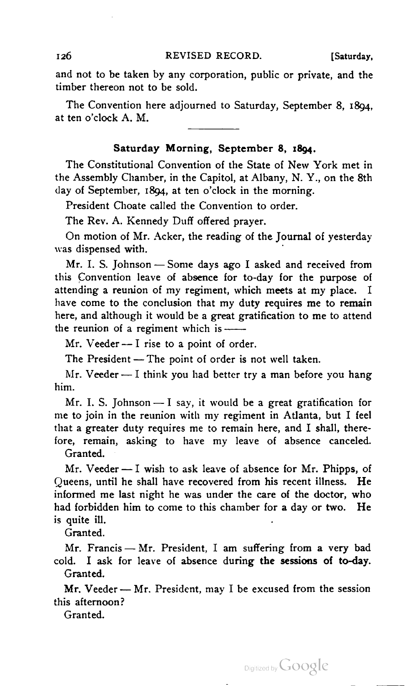and not to be taken by any corporation, public or private, and the timber thereon not to be sold.

The Convention here adjourned to Saturday, September 8, 1894, at ten o'clock A. M.

# Saturday Morning, September 8, 1804.

The Constitutional Convention of the State of New York met in the Assembly Chamber, in the Capitol, at Albany, N. Y., on the 8th day of September, 1894, at ten o'clock in the morning.

President Choate called the Convention to order.

The Rev. A. Kennedy Duff offered prayer.

On motion of Mr. Acker, the reading of the Journal of yesterday was dispensed with.

Mr. I. S. Johnson - Some days ago I asked and received from this Convention leave of absence for to-day for the purpose of attending a reunion of my regiment, which meets at my place. <sup>I</sup> have come to the conclusion that my duty requires me to remain here, and although it would be a great gratification to me to attend<br>the reunion of a regiment which is ——

Mr. Veeder -- I rise to a point of order.

The President - The point of order is not well taken.

Mr. Veeder — I think you had better try a man before you hang him.

Mr. I. S. Johnson  $-$  I say, it would be a great gratification for me to join in the reunion with my regiment in Atlanta, but I feel that a greater duty requires me to remain here, and I shall, there-<br>fore, remain, asking to have my leave of absence canceled.

Granted.

Mr. Veeder  $-1$  wish to ask leave of absence for Mr. Phipps, of Queens, until he shall have recovered from his recent illness. He informed me last night he was under the care of the doctor, who mistimed the fast ingit he was ander the care of the decler, which<br>had forbidden him to come to this chamber for a day or two. He<br>is quite ill.

Granted.

Mr. Francis - Mr. President, I am suffering from a very bad cold. I ask for leave of absence during the sessions of to-day.<br>Granted.

Mr. Veeder  $-$  Mr. President, may I be excused from the session this afternoon?

Granted.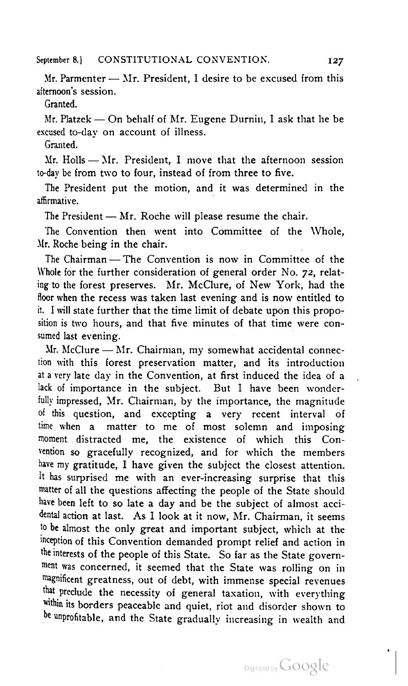Mr. Parmenter — Mr. President, <sup>1</sup> desire to be excused from this afternoon's session.

Granted.

Mr. Platzck — On behalf of Mr. Eugene Durnin, <sup>I</sup> ask that he be excused to-day on account of illness.

Granted.

Mr. Holls — Mr. President, <sup>I</sup> move that the afternoon session to-day be from two to four, instead of from three to five.

The President put the motion, and it was determined in the affirmative.

The President - Mr. Roche will please resume the chair.

The Convention then went into Committee of the Whole,<br>Mr. Roche being in the chair.

The Chairman – The Convention is now in Committee of the Whole for the further consideration of general order No. 72, relating to the forest preserves. Mr. McClure, of New York, had the floor when the recess was taken last evening and is now entitled to it. <sup>I</sup> will state further that the time limit of debate upon this propo sition is two hours, and that five minutes of that time were consumed last evening.

Mr. McClure  $-$  Mr. Chairman, my somewhat accidental connection with this forest preservation matter, and its introduction at <sup>a</sup> very late day in the Convention, at first induced the idea of a lack of importance in the subject. But I have been wonderfully impressed, Mr. Chairman, by the importance, the magnitude of this question, and excepting a very recent interval of time when a matter to me of most solemn and imposing moment distracted me, the existence of which this Con vention so gracefully recognized, and for which the members have my gratitude, <sup>I</sup> have given the subject the closest attention. It has surprised me with an ever-increasing surprise that this matter of all the questions affecting the people of the State should have been left to so late a day and be the subject of almost acci dental action at last. As <sup>I</sup> look at it now, Mr. Chairman, it seems to be almost the only great and important subject, which at the inception of this Convention demanded prompt relief and action in the interests of the people of this State. So far as the State govern ment was concerned, it seemed that the State was rolling on in magnificent greatness, out of debt, with immense special revenues that preclude the necessity of general taxation, with everything within its borders peaceable and quiet, riot and disorder shown to be unprofitable, and the State gradually increasing in wealth and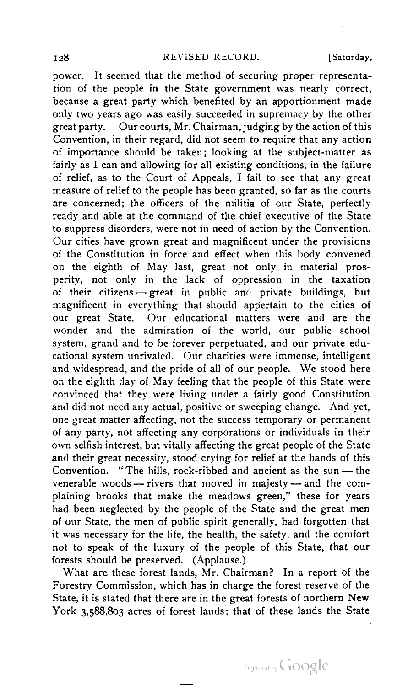power. It seemed that the method of securing proper representa tion of the people in the State government was nearly correct, because a great party which benefited by an apportionment made only two years ago was easily succeeded in supremacy by the other great party. Our courts, Mr. Chairman, judging by the action of this Convention, in their regard, did not seem to require that any action of importance should be taken; looking at the subject-matter as fairly as <sup>I</sup> can and allowing for all existing conditions, in the failure of relief, as to the Court of Appeals, <sup>I</sup> fail to see that any great measure of relief to the people has been granted, so far as the courts are concerned; the officers of the militia of our State, perfectly ready and able at the command of the chief executive of the State to suppress disorders, were not in need of action by the Convention. Our cities have grown great and magnificent under the provisions of the Constitution in force and effect when this body convened on the eighth of May last, great not only in material pros perity, not only in the lack of oppression in the taxation of their citizens — great in public and private buildings, but magnificent in everything that should appertain to the cities of our great State. Our educational matters were and are the wonder and the admiration of the world, our public school system, grand and to be forever perpetuated, and our private edu cational system unrivaled. Our charities were immense, intelligent and widespread, and the pride of all of our people. We stood here on the eighth day of May feeling that the people of this State were convinced that they were living under a fairly good Constitution and did not need any actual, positive or sweeping change. And yet, one great matter affecting, not the success temporary or permanent of any party, not affecting any corporations or individuals in their own selfish interest, but vitally affecting the great people of the State and their great necessity, stood crying for relief at the hands of this Convention. "The hills, rock-ribbed and ancient as the sun —the Convention. "The hills, rock-ribbed and ancient as the sun — the venerable woods — rivers that moved in majesty — and the complaining brooks that make the meadows green," these for years had been neglected by the people of the State and the great men of our State, the men of public spirit generally, had forgotten that it was necessary for the life, the health, the safety, and the comfort not to speak of the luxury of the people of this State, that our forests should be preserved. (Applause.)

What are these forest lands, Mr. Chairman? In a report of the Forestry Commission, which has in charge the forest reserve of the State, it is stated that there are in the great forests of northern New York 3,588,803 acres of forest lands; that of these lands the State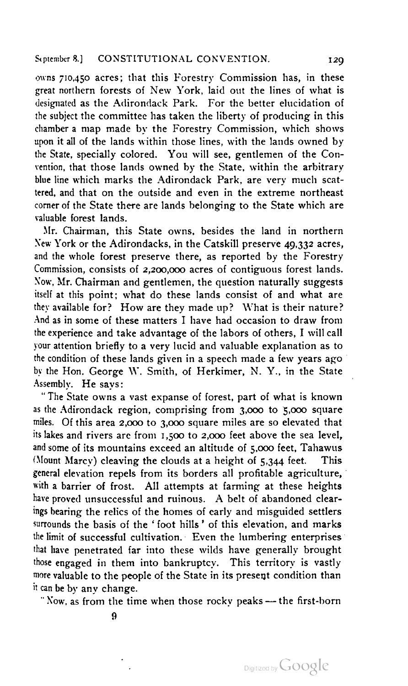owns 710,450 acres; that this Forestry Commission has, in these great northern forests of New York, laid out the lines of what is designated as the Adirondack Park. For the better elucidation of the subject the committee has taken the liberty of producing in this chamber <sup>a</sup> map made by the Forestry Commission, which shows upon it all of the lands within those lines, with the lands owned by the State, specially colored. You will see, gentlemen of the Con vention, that those lands owned by the State, within the arbitrary blue line which marks the Adirondack Park, are very much scat tered, and that on the outside and even in the extreme northeast corner of the State there are lands belonging to the State which are valuable forest lands.

Mr. Chairman, this State owns, besides the land in northern New York or the Adirondacks, in the Catskill preserve 49,332 acres, and the whole forest preserve there, as reported by the Forestry Commission, consists of 2,200,000 acres of contiguous forest lands. Now, Mr. Chairman and gentlemen, the question naturally suggests itself at this point; what do these lands consist of and what are they available for? How are they made up? What is their nature? And as in some of these matters <sup>I</sup> have had occasion to draw from the experience and take advantage of the labors of others, <sup>I</sup> will call your attention briefly to a very lucid and valuable explanation as to the condition of these lands given in a speech made a few years ago by the Hon. George \Y. Smith, of Herkimer, N. Y., in the State Assembly. He says:

" The State owns a vast expanse of forest, part of what is known as the Adirondack region, comprising from 3,000 to 5,000 square miles. Of this area 2.000 to 3,000 square miles are so elevated that its lakes and rivers are from 1,500 to 2,000 feet above the sea level, and some of its mountains exceed an altitude of 5,000 feet, Tahawus 'Mount Marcy) cleaving the clouds at a height of 5,344 feet. This general elevation repels from its borders all profitable agriculture, with a barrier of frost. All attempts at farming at these heights have proved unsuccessful and ruinous. A belt of abandoned clearings bearing the relics of the homes of early and misguided settlers surrounds the basis of the ' foot hills ' of this elevation, and marks the limit of successful cultivation. Even the lumbering enterprises that have penetrated far into these wilds have generally brought those engaged in them into bankruptcy. This territory is vastly more valuable to the people of the State in its present condition than it can be by any change.

" Now, as from the time when those rocky peaks — the first-born

 $\boldsymbol{\Omega}$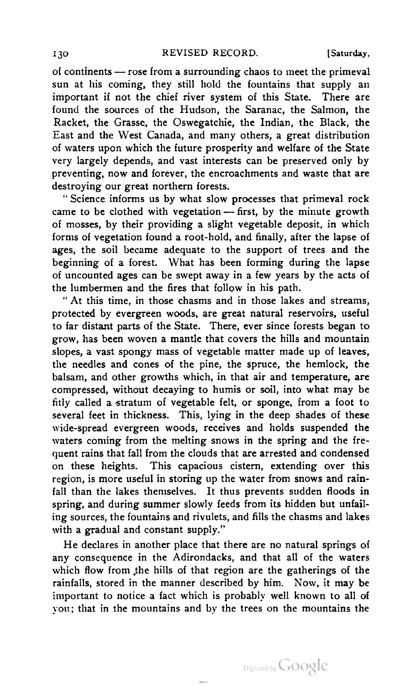130 REVISED RECORD. [Saturday, of continents — rose from a surrounding chaos to meet the primeval sun at his coming, they still hold the fountains that supply an important if not the chief river system of this State. There are found the sources of the Hudson, the Saranac, the Salmon, the Racket, the Grasse, the Oswegatchie, the Indian, the Black, the East and the West Canada, and many others, a great distribution of waters upon which the future prosperity and welfare of the State very largely depends, and vast interests can be preserved only by preventing, now and forever, the encroachments and waste that are destroying our great northern forests.

" Science informs us by what slow processes that primeval rock came to be clothed with vegetation — first, by the minute growth of mosses, by their providing a slight vegetable deposit, in which forms of vegetation found a root-hold, and finally, after the lapse of ages, the soil became adequate to the support of trees and the beginning of a forest. What has been forming during the lapse of uncounted ages can be swept away in a few years by the acts of the lumbermen and the fires that follow in his path.

" At this time, in those chasms and in those lakes and streams, protected by evergreen woods, are great natural reservoirs, useful to far distant parts of the State. There, ever since forests began to grow, has been woven a mantle that covers the hills and mountain slopes, a vast spongy mass of vegetable matter made up of leaves, the needles and cones of the pine, the spruce, the hemlock, the balsam, and other growths which, in that air and temperature, are compressed, without decaying to humis or soil, into what may be fitly called a stratum of vegetable felt, or sponge, from a foot to several feet in thickness. This, lying in the deep shades of these wide-spread evergreen woods, receives and holds suspended the waters coming from the melting snows in the spring and the frequent rains that fall from the clouds that are arrested and condensed on these heights. This capacious cistern, extending over this region, is more useful in storing up the water from snows and rain fall than the lakes themselves. It thus prevents sudden floods in spring, and during summer slowly feeds from its hidden but unfail ing sources, the fountains and rivulets, and fills the chasms and lakes with a gradual and constant supply."

He declares in another place that there are no natural springs of any consequence in the Adirondacks, and that all of the waters which flow from the hills of that region are the gatherings of the rainfalls, stored in the manner described by him. Now, it may be important to notice a fact which is probably well known to all of you; that in the mountains and by the trees on the mountains the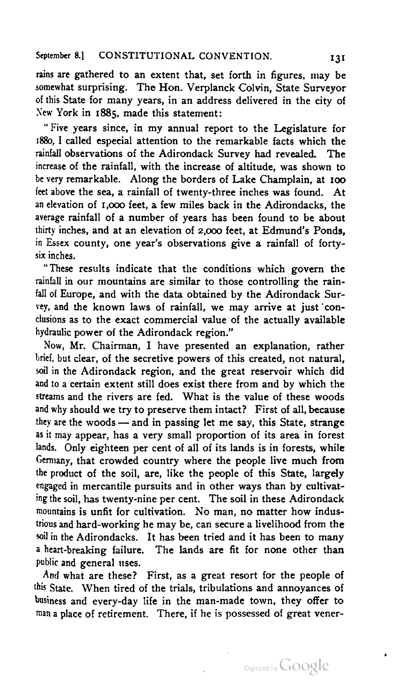rains are gathered to an extent that, set forth in figures, may be somewhat surprising. The Hon. Verplanck Colvin, State Surveyor of this State for many years, in an address delivered in the city of New York in 1885, made this statement:

" Five years since, in my annual report to the Legislature for 1880, <sup>I</sup> called especial attention to the remarkable facts which the rainfall observations of the Adirondack Survey had revealed. The increase of the rainfall, with the increase of altitude, was shown to be very remarkable. Along the borders of Lake Champlain, at 100 feet above the sea, a rainfall of twenty-three inches was found. At an elevation of 1,000 feet, a few miles back in the Adirondacks, the average rainfall of a number of years has been found to be about thirty inches, and at an elevation of 2,000 feet, at Edmund's Ponds, in Essex county, one year's observations give a rainfall of fortysix inches.

"These results indicate that the conditions which govern the rainfall in our mountains are similar to those controlling the rain fall of Europe, and with the data obtained by the Adirondack Survey, and the known laws of rainfall, we may arrive at just con clusions as to the exact commercial value of the actually available hydraulic power of the Adirondack region."

Now, Mr. Chairman, <sup>I</sup> have presented an explanation, rather brief, but clear, of the secretive powers of this created, not natural, soil in the Adirondack region, and the great reservoir which did and to a certain extent still does exist there from and by which the streams and the rivers are fed. What is the value of these woods and why should we try to preserve them intact? First of all, because<br>they are the woods — and in passing let me say, this State, strange they are the woods — and in passing let me say, this State, strange as it may appear, has a very small proportion of its area in forest lands. Only eighteen per cent of all of its lands is in forests, while Germany, that crowded country where the people live much from the product of the soil, are, like the people of this State, largely engaged in mercantile pursuits and in other ways than by cultivat ing the soil, has twenty-nine per cent. The soil in these Adirondack mountains is unfit for cultivation. No man, no matter how indus trious and hard-working he may be, can secure a livelihood from the soil in the Adirondacks. It has been tried and it has been to many <sup>a</sup> heart-breaking failure. The lands are fit for none other than public and general uses.

And what are these? First, as a great resort for the people of this State. When tired of the trials, tribulations and annoyances of business and cvery-day life in the man-made town, they offer to man a place of retirement. There, if he is possessed of great vener-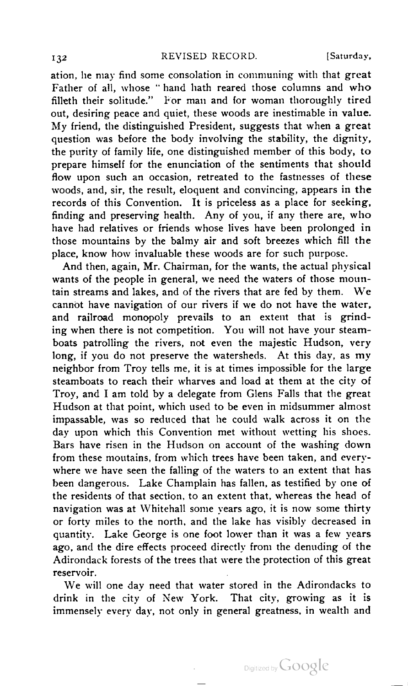ation, he may find some consolation in communing with that great Father of all, whose " hand hath reared those columns and who filleth their solitude." For man and for woman thoroughly tired out, desiring peace and quiet, these woods are inestimable in value. My friend, the distinguished President, suggests that when <sup>a</sup> great question was before the body involving the stability, the dignity, the purity of family life, one distinguished member of this body, to prepare himself for the enunciation of the sentiments that should flow upon such an occasion, retreated to the fastnesses of these woods, and, sir, the result, eloquent and convincing, appears in the records of this Convention. It is priceless as a place for seeking, finding and preserving health. Any of you, if any there are, who have had relatives or friends whose lives have been prolonged in those mountains by the balmy air and soft breezes which fill the place, know how invaluable these woods are for such purpose.

And then, again, Mr. Chairman, for the wants, the actual physical wants of the people in general, we need the waters of those mountain streams and lakes, and of the rivers that are fed by them. We cannot have navigation of our rivers if we do not have the water, and railroad monopoly prevails to an extent that is grind ing when there is not competition. You will not have your steam boats patrolling the rivers, not even the majestic Hudson, very long, if you do not preserve the watersheds. At this day, as my neighbor from Troy tells me, it is at times impossible for the large steamboats to reach their wharves and load at them at the city of Troy, and <sup>I</sup> am told by <sup>a</sup> delegate from Glens Falls that the great Hudson at that point, which used to be even in midsummer almost impassable, was so reduced that he could walk across it on the day upon which this Convention met without wetting his shoes. Bars have risen in the Hudson on account of the washing down from these moutains, from which trees have been taken, and every where we have seen the falling of the waters to an extent that has been dangerous. Lake Champlain has fallen, as testified by one of the residents of that section, to an extent that, whereas the head of navigation was at Whitehall some years ago, it is now some thirty or forty miles to the north, and the lake has visibly decreased in quantity. Lake George is one foot lower than it was a few years ago, and the dire effects proceed directly from the denuding of the Adirondack forests of the trees that were the protection of this great reservoir.

We will one day need that water stored in the Adirondacks to drink in the city of New York. That city, growing as it is immensely every day, not only in general greatness, in wealth and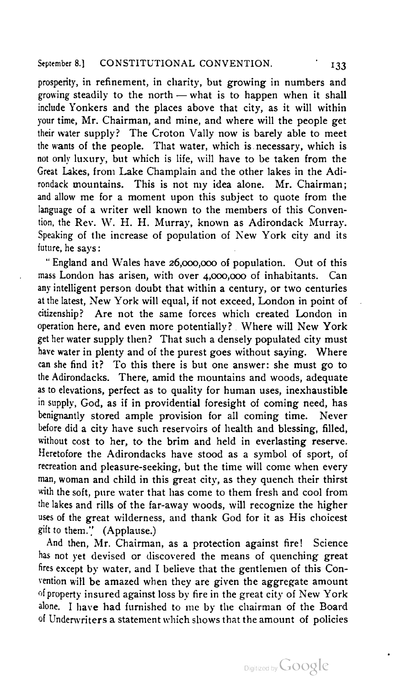prosperity, in refinement, in charity, but growing in numbers and growing steadily to the north — what is to happen when it shall include Yonkers and the places above that city, as it will within your time, Mr. Chairman, and mine, and where will the people get their water supply? The Croton Vally now is barely able to meet the wants of the people. That water, which is necessary, which is not only luxury, but which is life, will have to be taken from the Great Lakes, from Lake Champlain and the other lakes in the Adi rondack mountains. This is not my idea alone. Mr. Chairman; and allow me for a moment upon this subject to quote from the language of a writer well known to the members of this Convention, the Rev. W. H. H. Murray, known as Adirondack Murray. Speaking of the increase of population of New York city and its future, he says:

" England and Wales have 26,000,000 of population. Out of this mass London has arisen, with over 4,000,000 of inhabitants. Can any intelligent person doubt that within a century, or two centuries at the latest, New York will equal, if not exceed, London in point of citizenship? Are not the same forces which created London in operation here, and even more potentially? Where will New York get her water supply then? That such a densely populated city must have water in plenty and of the purest goes without saying. Where can she find it? To this there is but one answer: she must go to the Adirondacks. There, amid the mountains and woods, adequate as to elevations, perfect as to quality for human uses, inexhaustible in supply, God, as if in providential foresight of coming need, has benignantly stored ample provision for all coming time. Never before did a city have such reservoirs of health and blessing, filled, without cost to her, to the brim and held in everlasting reserve. Heretofore the Adirondacks have stood as a symbol of sport, of recreation and pleasure-seeking, but the time will come when every man, woman and child in this great city, as they quench their thirst with the soft, pure water that has come to them fresh and cool from the lakes and rills of the far-away woods, will recognize the higher uses of the great wilderness, and thank God for it as His choicest gift to them." (Applause.)

And then, Mr. Chairman, as a protection against fire! Science has not yet devised or discovered the means of quenching great fires except by water, and <sup>I</sup> believe that the gentlemen of this Con vention will be amazed when they are given the aggregate amount of property insured against loss by fire in the great city of New York alone. <sup>I</sup> have had furnished to me by the chairman of the Board of Underwriters a statement which shows that the amount of policies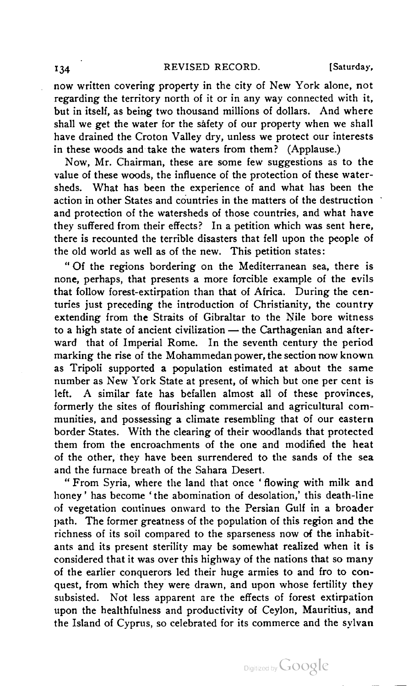## 134 REVISED RECORD. [Saturday,

now written covering property in the city of New York alone, not regarding the territory north of it or in any way connected with it, but in itself, as being two thousand millions of dollars. And where shall we get the water for the safety of our property when we shall have drained the Croton Valley dry, unless we protect our interests in these woods and take the waters from them? (Applause.)

Now, Mr. Chairman, these are some few suggestions as to the value of these woods, the influence of the protection of these water sheds. What has been the experience of and what has been the action in other States and countries in the matters of the destruction and protection of the watersheds of those countries, and what have they suffered from their effects? In a petition which was sent here, there is recounted the terrible disasters that fell upon the people of the old world as well as of the new. This petition states:

" Of the regions bordering on the Mediterranean sea, there is none, perhaps, that presents a more forcible example of the evils that follow forest-extirpation than that of Africa. During the cen turies just preceding the introduction of Christianity, the country extending from the Straits of Gibraltar to the Nile bore witness to <sup>a</sup> high state of ancient civilization — the Carthagenian and after ward that of Imperial Rome. In the seventh century the period marking the rise of the Mohammedan power, the section now known as Tripoli supported a population estimated at about the same number as New York State at present, of which but one per cent is left. A similar fate has befallen almost all of these provinces, formerly the sites of flourishing commercial and agricultural com munities, and possessing a climate resembling that of our eastern border States. With the clearing of their woodlands that protected them from the encroachments of the one and modified the heat of the other, they have been surrendered to the sands of the sea and the furnace breath of the Sahara Desert.

" From Syria, where the land that once ' flowing with milk and honey ' has become ' the abomination of desolation,' this death-line of vegetation continues onward to the Persian Gulf in a broader path. The former greatness of the population of this region and the richness of its soil compared to the sparseness now of the inhabit ants and its present sterility may be somewhat realized when it is considered that it was over this highway of the nations that so many of the earlier conquerors led their huge armies to and fro to con quest, from which they were drawn, and upon whose fertility they subsisted. Not less apparent are the effects of forest extirpation upon the healthfulness and productivity of Ceylon, Mauritius, and the Island of Cyprus, so celebrated for its commerce and the sylvan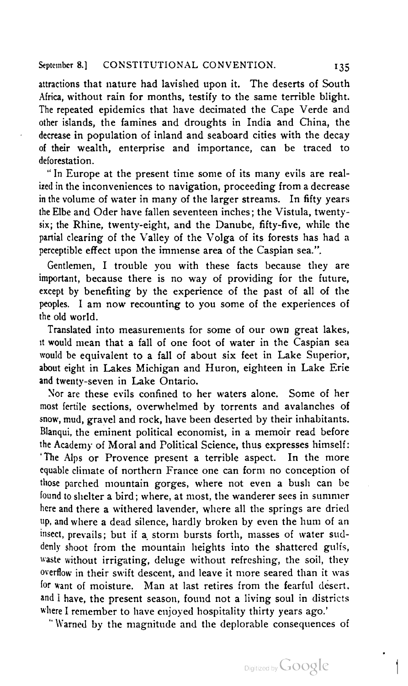attractions that nature had lavished upon it. The deserts of South Africa, without rain for months, testify to the same terrible blight. The repeated epidemics that have decimated the Cape Verde and other islands, the famines and droughts in India and China, the decrease in population of inland and seaboard cities with the decay of their wealth, enterprise and importance, can be traced to deforestation.

" In Europe at the present time some of its many evils are real ized in the inconveniences to navigation, proceeding from a decrease in the volume of water in many of the larger streams. In fifty years the Elbe and Oder have fallen seventeen inches; the Vistula, twentysix; the Rhine, twenty-eight, and the Danube, fifty-five, while the partial clearing of the Valley of the Volga of its forests has had a perceptible effect upon the immense area of the Caspian sea.".

Gentlemen, <sup>I</sup> trouble you with these facts because they are important, because there is no way of providing for the future, except by benefiting by the experience of the past of all of the peoples. <sup>I</sup> am now recounting to you some of the experiences of the old world.

Translated into measurements for some of our own great lakes, it would mean that a fall of one foot of water in the Caspian sea would be equivalent to a fall of about six feet in Lake Superior, about eight in Lakes Michigan and Huron, eighteen in Lake Erie and twenty-seven in Lake Ontario.

Nor are these evils confined to her waters alone. Some of her most fertile sections, overwhelmed by torrents and avalanches of snow, mud, gravel and rock, have been deserted by their inhabitants. Blanqui, the eminent political economist, in a memoir read before the Academy of Moral and Political Science, thus expresses himself: 'The Alps or Provence present a terrible aspect. In the more equable climate of northern France one can form no conception of those parched mountain gorges, where not even a bush can be found to shelter a bird; where, at most, the wanderer sees in summer here and there a withered lavender, where all the springs are dried up, and where <sup>a</sup> dead silence, hardly broken by even the hum of an insect, prevails; but if a storm bursts forth, masses of water sud denly shoot from the mountain heights into the shattered gulfs, waste without irrigating, deluge without refreshing, the soil, they overflow in their swift descent, and leave it more seared than it was for want of moisture. Man at last retires from the fearful desert, and I have, the present season, found not a living soul in districts where <sup>I</sup> remember to have enjoyed hospitality thirty years ago.'

" Warned by the magnitude and the deplorable consequences of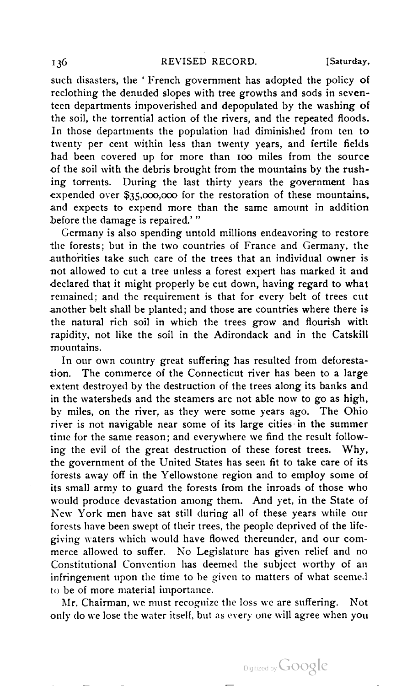such disasters, the ' French government has adopted the policy of reclothing the denuded slopes with tree growths and sods in seven teen departments impoverished and depopulated by the washing of the soil, the torrential action of the rivers, and the repeated floods. In those departments the population had diminished from ten to twenty per cent within less than twenty years, and fertile fields had been covered up for more than 100 miles from the source of the soil with the debris brought from the mountains by the rush ing torrents. During the last thirty years the government has expended over \$35,000,000 for the restoration of these mountains, and expects to expend more than the same amount in addition before the damage is repaired.'"

Germany is also spending untold millions endeavoring to restore the forests; but in the two countries of France and Germany, the authorities take such care of the trees that an individual owner is not allowed to cut a tree unless a forest expert has marked it and -declared that it might properly be cut down, having regard to what remained; and the requirement is that for every belt of trees cut another belt shall be planted; and those are countries where there is the natural rich soil in which the trees grow and flourish with rapidity, not like the soil in the Adirondack and in the Catskill mountains.

In our own country great suffering has resulted from deforestation. The commerce of the Connecticut river has been to a large extent destroyed by the destruction of the trees along its banks and in the watersheds and the steamers are not able now to go as high, by miles, on the river, as they were some years ago. The Ohio river is not navigable near some of its large cities in the summer time for the same reason; and everywhere we find the result follow ing the evil of the great destruction of these forest trees. Why, the government of the United States has seen fit to take care of its forests away off in the Yellowstone region and to employ some of its small army to guard the forests from the inroads of those who would produce devastation among them. And yet, in the State of New York men have sat still during all of these years while our forests have been swept of their trees, the people deprived of the lifegiving waters which would have flowed thereunder, and our com merce allowed to suffer. No Legislature has given relief and no Constitutional Convention has deemed the subject worthy of an infringement upon the time to be given to matters of what seemed to be of more material importance.

Mr. Chairman, we must recognize the loss we are suffering. Not only do we lose the water itself, but as every one will agree when you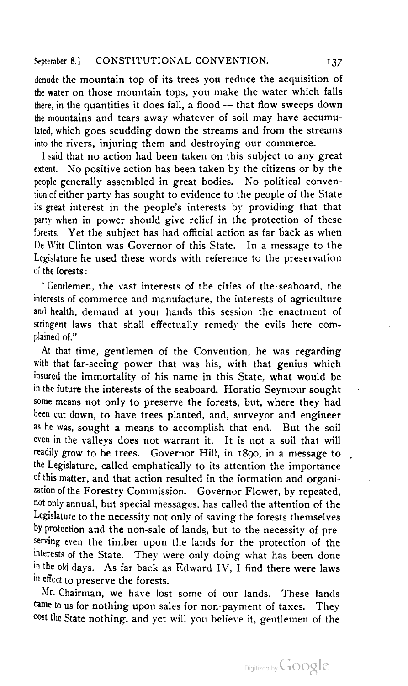denude the mountain top of its trees you reduce the acquisition of the water on those mountain tops, you make the water which falls there, in the quantities it does fall, a flood — that flow sweeps down the mountains and tears away whatever of soil may have accumu lated, which goes scudding down the streams and from the streams into the rivers, injuring them and destroying our commerce.

I said that no action had been taken on this subject to any great extent. No positive action has been taken by the citizens or by the people generally assembled in great bodies. No political conven tion of either party has sought to evidence to the people of the State its great interest in the people's interests by providing that that party when in power should give relief in the protection of these forests. Yet the subject has had official action as far back as when De Witt Clinton was Governor of this State. In a message to the Legislature he used these words with reference to the preservation of the forests :

"Gentlemen, the vast interests of the cities of the seaboard, the interests of commerce and manufacture, the interests of agriculture and health, demand at your hands this session the enactment of stringent laws that shall effectually remedy the evils here com plained of."

At that time, gentlemen of the Convention, he was regarding with that far-seeing power that was his, with that genius which insured the immortality of his name in this State, what would be in the future the interests of the seaboard. Horatio Seymour sought some means not only to preserve the forests, but, where they had been cut down, to have trees planted, and, surveyor and engineer as he was, sought a means to accomplish that end. But the soil even in the valleys does not warrant it. It is not a soil that will readily grow to be trees. Governor Hill, in 1890, in a message to the Legislature, called emphatically to its attention the importance of this matter, and that action resulted in the formation and organi zation of the Forestry Commission. Governor Flower, by repeated, not only annual, but special messages, has called the attention of the Legislature to the necessity not only of saving the forests themselves by protection and the non-sale of lands, but to the necessity of pre serving even the timber upon the lands for the protection of the interests of the State. They were only doing what has been done in the old days. As far back as Edward IV, I find there were laws  $\frac{1}{2}$  me on tags. This far back as Euward TV, I find there were faws

Mr. Chairman, we have lost some of our lands. These lands came to us for nothing upon sales for non-payment of taxes. They cost the State nothing, and yet will you believe it, gentlemen of the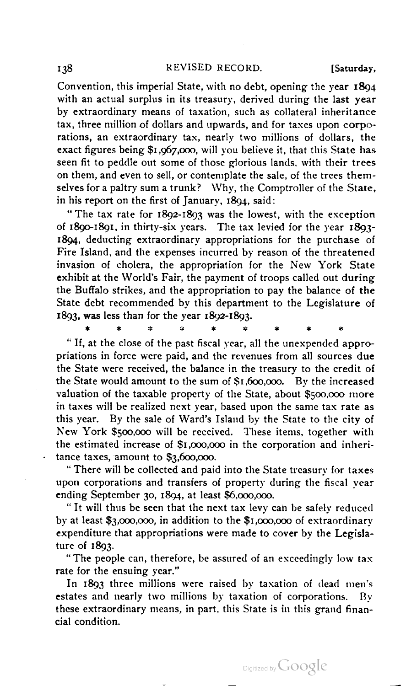Convention, this imperial State, with no debt, opening the year 1894 with an actual surplus in its treasury, derived during the last year by extraordinary means of taxation, such as collateral inheritance tax, three million of dollars and upwards, and for taxes upon corpo rations, an extraordinary tax, nearly two millions of dollars, the exact figures being \$1 ,967,000, will you believe it, that this State has seen fit to peddle out some of those glorious lands, with their trees on them, and even to sell, or contemplate the sale, of the trees them selves for a paltry sum a trunk? Why, the Comptroller of the State, in his report on the first of January, 1894, said:

" The tax rate for 1892-1893 was the lowest, with the exception of 1890-1891, in thirty-six years. The tax levied for the year 1893- 1894, deducting extraordinary appropriations for the purchase of Fire Island, and the expenses incurred by reason of the threatened invasion of cholera, the appropriation for the New York State exhibit at the World's Fair, the payment of troops called out during Exhibit at the World's Fair, the payment of troops called out during<br>the Buffalo strikes, and the appropriation to pay the balance of the<br>State debt recommended by this department to the Legislature of<br> $x + x^*$  \* \* \* \* \* \* State debt recommended by this department to the Legislature of  $1893$ , was less than for the year  $1892 - 1893$ .

" If, at the close of the past fiscal year, all the unexpended appro priations in force were paid, and the revenues from all sources due the State were received, the balance in the treasury to the credit of the State would amount to the sum of \$1,600,000. By the increased valuation of the taxable property of the State, about \$500,000 more in taxes will be realized next year, based upon the same tax rate as this year. By the sale of Ward's Island by the State to the city of New York \$500,000 will be received. These items, together with the estimated increase of \$1,000,000 in the corporation and inheri tance taxes, amount to \$3,600,000.

" There will be collected and paid into the State treasury for taxes upon corporations and transfers of property during the fiscal year ending September 30, 1894, at least \$6,000,000.

" It will thus be seen that the next tax levy can be safely reduced by at least \$3,000,000, in addition to the \$1,000,000 of extraordinary expenditure that appropriations were made to cover by the Legisla ture of 1893.

"The people can, therefore, be assured of an exceedingly low tax rate for the ensuing year."

In 1893 three millions were raised by taxation of dead men's estates and nearly two millions by taxation of corporations. By these extraordinary means, in part, this State is in this grand finan cial condition.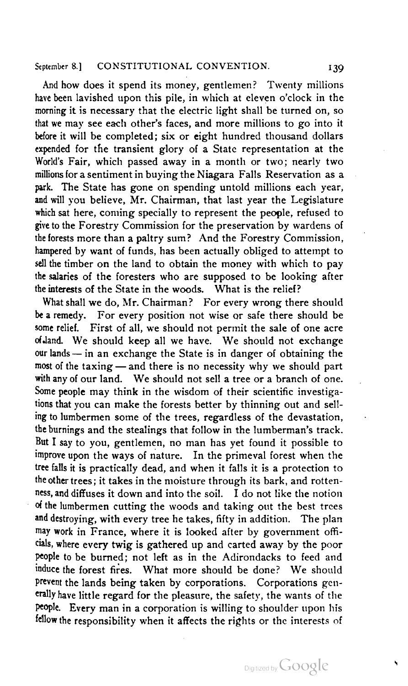And how does it spend its money, gentlemen? Twenty millions have been lavished upon this pile, in which at eleven o'clock in the morning it is necessary that the electric light shall be turned on, so that we may see each other's faces, and more millions to go into it before it will be completed; six or eight hundred thousand dollars expended for the transient glory of a State representation at the World's Fair, which passed away in a month or two: nearly two millions for a sentiment in buying the Niagara Falls Reservation as a park. The State has gone on spending untold millions each year, and will you believe, Mr. Chairman, that last year the Legislature which sat here, coming specially to represent the people, refused to give to the Forestry Commission for the preservation by wardens of the forests more than a paltry sum? And the Forestry Commission, hampered by want of funds, has been actually obliged to attempt to sell the timber on the land to obtain the money with which to pay the salaries of the foresters who are supposed to be looking after the interests of the State in the woods. What is the relief?

What shall we do, Mr. Chairman? For every wrong there should be a remedy. For every position not wise or safe there should be some relief. First of all, we should not permit the sale of one acre of.land. We should keep all we have. We should not exchange ot land. We should keep all we have. We should not exchange<br>our lands — in an exchange the State is in danger of obtaining the our lands — in an exchange the State is in danger of obtaining the most of the taxing — and there is no necessity why we should part most of the taxing — and there is no necessity why we should part with any of our land. We should not sell a tree or a branch of one. Some people may think in the wisdom of their scientific investiga tions that you can make the forests better by thinning out and sell ing to lumbermen some of the trees, regardless of the devastation, the burnings and the stealings that follow in the lumberman's track. But <sup>I</sup> say to you, gentlemen, no man has yet found it possible to improve upon the ways of nature. In the primeval forest when the tree falls it is practically dead, and when it falls it is a protection to the other trees ; it takes in the moisture through its bark, and rotten ness, and diffuses it down and into the soil. <sup>I</sup> do not like the notion of the lumbermen cutting the woods and taking out the best trees and destroying, with every tree he takes, fifty in addition. The plan may work in France, where it is looked after by government offi cials, where every twig is gathered up and carted away by the poor people to be burned; not left as in the Adirondacks to feed and induce the forest fires. What more should be done? We should prevent the lands being taken by corporations. Corporations gen erally have little regard for the pleasure, the safety, the wants of the People. Every man in a corporation is willing to shoulder upon his fellow the responsibility when it affects the rights or the interests of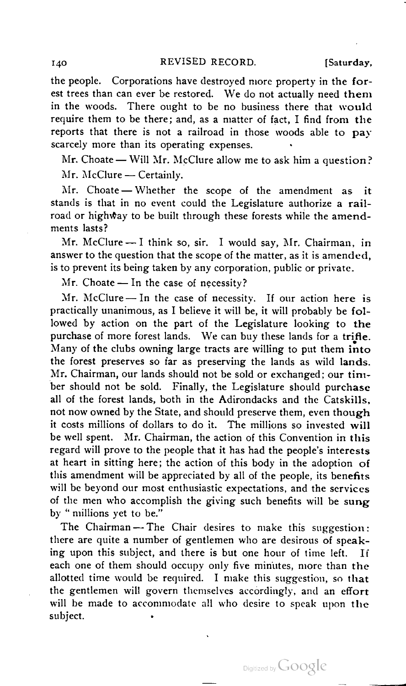the people. Corporations have destroyed more property in the for est trees than can ever be restored. We do not actually need them in the woods. There ought to be no business there that would require them to be there; and, as a matter of fact, <sup>I</sup> find from the reports that there is not a railroad in those woods able to pay<br>scarcely more than its operating expenses.

Mr. Choate - Will Mr. McClure allow me to ask him a question? Mr. McClure - Certainly.

Mr. Choate — Whether the scope of the amendment as it stands is that in no event could the Legislature authorize a railroad or highway to be built through these forests while the amend-<br>ments lasts?

Mr. McClure  $-1$  think so, sir. I would say, Mr. Chairman, in answer to the question that the scope of the matter, as it is amended, is to prevent its being taken by any corporation, public or private.

Mr. Choate — In the case of necessity?<br>Mr. McClure — In the case of necessity. If our action here is practically unanimous, as I believe it will be, it will probably be fol lowed by action on the part of the Legislature looking to the purchase of more forest lands. We can buy these lands for <sup>a</sup> trifle. Many of the clubs owning large tracts are willing to put them into the forest preserves so far as preserving the lands as wild lands. Mr, Chairman, our lands should not be sold or exchanged; our tim ber should not be sold. Finally, the Legislature should purchase all of the forest lands, both in the Adirondacks and the Catskills. not now owned by the State, and should preserve them, even though it costs millions of dollars to do it. The millions so invested will be well spent. Mr. Chairman, the action of this Convention in this regard will prove to the people that it has had the people's interests at heart in sitting here; the action of this body in the adoption of this amendment will be appreciated by all of the people, its benefits will be beyond our most enthusiastic expectations, and the services of the men who accomplish the giving such benefits will be sung by " millions yet to be."

The Chairman — The Chair desires to make this suggestion: there are quite a number of gentlemen who are desirous of speak ing upon this subject, and there is but one hour of time left. If each one of them should occupy only five minutes, more than the allotted time would be required. <sup>I</sup> make this suggestion, so that the gentlemen will govern themselves accordingly, and an effort will be made to accommodate all who desire to speak upon the subject.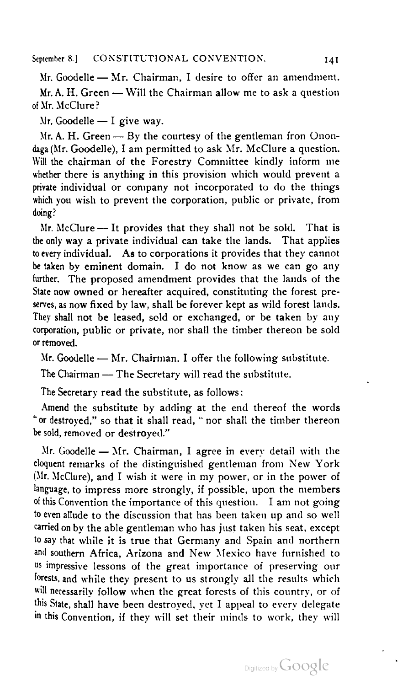Mr. Goodelle — Mr. Chairman, <sup>I</sup> desire to offer an amendment. Mr. A. H. Green — Will the Chairman allow me to ask <sup>a</sup> question ofMr.McClure?

 $Mr. Goodelle - I give way.$ 

Mr. A. H. Green  $-$  By the courtesy of the gentleman fron Onon-<br>daga (Mr. Goodelle), I am permitted to ask Mr. McClure a question. Will the chairman of the Forestry Committee kindly inform me whether there is anything in this provision which would prevent a private individual or company not incorporated to do the things which you wish to prevent the corporation, public or private, from<br>doing?

Mr. McClure -- It provides that they shall not be sold. That is the only way a private individual can take the lands. That applies to every individual. As to corporations it provides that they cannot be taken by eminent domain. <sup>I</sup> do not know as we can go any further. The proposed amendment provides that the lands of the State now owned or hereafter acquired, constituting the forest pre serves, as now fixed by law, shall be forever kept as wild forest lands. They shall not be leased, sold or exchanged, or be taken by any corporation, public or private, nor shall the timber thereon be sold<br>or removed.

Mr. Goodelle — Mr. Chairman, I offer the following substitute.<br>The Chairman — The Secretary will read the substitute.

The Secretary read the substitute, as follows:

Amend the substitute by adding at the end thereof the words "or destroyed," so that it shall read, "nor shall the timber thereon be sold, removed or destroyed."

Mr. Goodelle — Mr. Chairman, <sup>I</sup> agree in every detail with the eloquent remarks of the distinguished gentleman from New York (Mr. McClure), and <sup>I</sup> wish it were in my power, or in the power of language, to impress more strongly, if possible, upon the members of this Convention the importance of this question. <sup>I</sup> am not going to even allude to the discussion that has been taken up and so well carried on by the able gentleman who has just taken his seat, except to say that while it is true that Germany and Spain and northern and southern Africa, Arizona and New Mexico have furnished to us impressive lessons of the great importance of preserving our forests, and while they present to us strongly all the results which will necessarily follow when the great forests of this country, or of this State, shall have been destroyed, yet <sup>I</sup> appeal to every delegate in this Convention, if they will set their minds to work, they will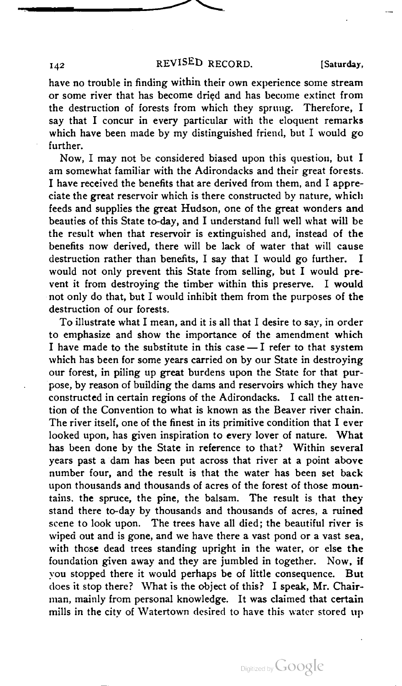# 142 REVISED RECORD. [Saturday,

have no trouble in finding within their own experience some stream or some river that has become dried and has become extinct from the destruction of forests from which they sprung. Therefore, <sup>I</sup> say that <sup>I</sup> concur in every particular with the eloquent remarks which have been made by my distinguished friend, but <sup>I</sup> would go further.  $\frac{1}{2}$  may not be considered upon this question, but I may not be considered upon this question, but I may not be considered upon the constant of  $\frac{1}{2}$ 

Now, I may not be considered biased upon this question, but I am somewhat familiar with the Adirondacks and their great forests. I have received the benefits that are derived from them, and <sup>I</sup> appre ciate the great reservoir which is there constructed by nature, which feeds and supplies the great Hudson, one of the great wonders and beauties of this State to-day, and <sup>I</sup> understand full well what will be the result when that reservoir is extinguished and, instead of the benefits now derived, there will be lack of water that will cause destruction rather than benefits, I say that I would go further. would not only prevent this State from selling, but <sup>I</sup> would pre vent it from destroying the timber within this preserve. <sup>I</sup> would not only do that, but <sup>I</sup> would inhibit them from the purposes of the destruction of our forests.

to emphasize and show the importance of the amendment which <sup>I</sup> have made to the substitute in this case —I refer to that system which has been for some years carried on by our State in destroying our forest, in piling up great burdens upon the State for that pur pose, by reason of building the dams and reservoirs which they have constructed in certain regions of the Adirondacks. I call the atten tion of the Convention to what is known as the Beaver river chain. The river itself, one of the finest in its primitive condition that <sup>I</sup> ever looked upon, has given inspiration to every lover of nature. What has been done by the State in reference to that? Within several years past a dam has been put across that river at a point above number four, and the result is that the water has been set back upon thousands and thousands of acres of the forest of those moun tains, the spruce, the pine, the balsam. The result is that they stand there to-day by thousands and thousands of acres, a ruined scene to look upon. The trees have all died; the beautiful river is wiped out and is gone, and we have there a vast pond or a vast sea, with those dead trees standing upright in the water, or else the foundation given away and they are jumbled in together. Now, if you stopped there it would perhaps be of little consequence. But does it stop there? What is the object of this? <sup>I</sup> speak, Mr. Chair man, mainly from personal knowledge. It was claimed that certain mills in the city of Watertown desired to have this water stored up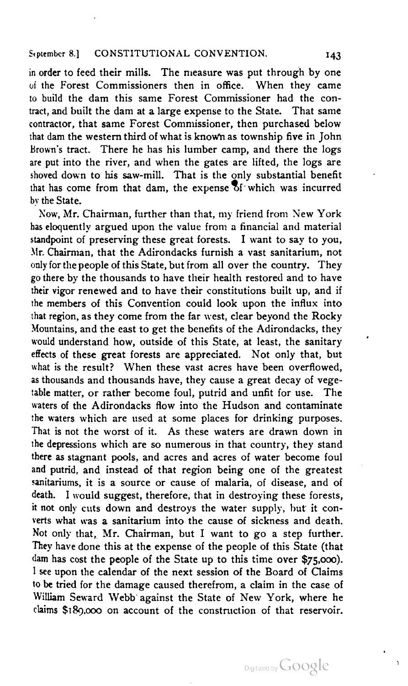in order to feed their mills. The measure was put through by one of the Forest Commissioners then in office. When they came to build the dam this same Forest Commissioner had the con tract, and built the dam at a large expense to the State. That same contractor, that same Forest Commissioner, then purchased below that dam the western third of what is knoWn as township five in John Brown's tract. There he has his lumber camp, and there the logs are put into the river, and when the gates are lifted, the logs are shoved down to his saw-mill. That is the only substantial benefit that has come from that dam, the expense  $\delta$ f which was incurred by the State.

Now, Mr. Chairman, further than that, my friend from New York has eloquently argued upon the value from a financial and material standpoint of preserving these great forests. <sup>I</sup> want to say to you, Mr. Chairman, that the Adirondacks furnish a vast sanitarium, not only for the people of this State, but from all over the country. They go there by the thousands to have their health restored and to have their vigor renewed and to have their constitutions built up, and if the members of this Convention could look upon the influx into that region, as they come from the far west, clear beyond the Rocky Mountains, and the east to get the benefits of the Adirondacks, they would understand how, outside of this State, at least, the sanitary effects of these great forests are appreciated. Not only that, but what is the result? When these vast acres have been overflowed, as thousands and thousands have, they cause a great decay of vege table matter, or rather become foul, putrid and unfit for use. The waters of the Adirondacks flow into the Hudson and contaminate the waters which are used at some places for drinking purposes. That is not the worst of it. As these waters are drawn down in the depressions which are so numerous in that country, they stand there as stagnant pools, and acres and acres of water become foul and putrid, and instead of that region being one of the greatest sanitariums, it is a source or cause of malaria, of disease, and of death. <sup>I</sup> would suggest, therefore, that in destroying these forests, it not only cuts down and destroys the water supply, but it con verts what was a sanitarium into the cause of sickness and death. Not only that, Mr. Chairman, but <sup>I</sup> want to go a step further. They have done this at the expense of the people of this State (that dam has cost the people of the State up to this time over \$75,000). <sup>I</sup> see upon the calendar of the next session of the Board of Claims to be tried for the damage caused therefrom, a claim in the case of William Seward Webb against the State of New York, where he claims \$189,000 on account of the construction of that reservoir.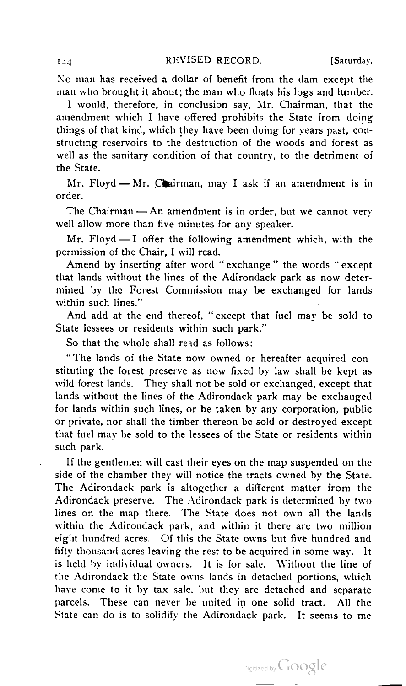No man has received <sup>a</sup> dollar of benefit from the dam except the man who brought it about; the man who floats his logs and lumber.

I would, therefore, in conclusion say, Mr. Chairman, that the amendment which I have offered prohibits the State from doing things of that kind, which they have been doing for years past, con structing reservoirs to the destruction of the woods and forest as well as the sanitary condition of that country, to the detriment of the State.

Mr. Floyd -— Mr. Chairman, may <sup>I</sup> ask if an amendment is in Mr. Floyd — Mr. Chairman, may I ask if an amendment is in<br>order.

The Chairman  $-An$  amendment is in order, but we cannot very well allow more than five minutes for any speaker.

Mr. Floyd  $-1$  offer the following amendment which, with the permission of the Chair, I will read.

Amend by inserting after word "exchange" the words "except that lands without the lines of the Adirondack park as now determined by the Forest Commission may be exchanged for lands within such lines."

And add at the end thereof, " except that fuel may be sold to State lessees or residents within such park."

So that the whole shall read as follows:

"The lands of the State now owned or hereafter acquired con stituting the forest preserve as now fixed by law shall be kept as wild forest lands. They shall not be sold or exchanged, except that lands without the lines of the Adirondack park may be exchanged for lands within such lines, or be taken by any corporation, public or private, nor shall the timber thereon be sold or destroyed except that fuel may be sold to the lessees of the State or residents within such park.

If the gentlemen will cast their eyes on the map suspended on the side of the chamber they will notice the tracts owned by the State. The Adirondack park is altogether a different matter from the Adirondack preserve. The Adirondack park is determined by two lines on the map there. The State does not own all the lands within the Adirondack park, and within it there are two million eight hundred acres. Of this the State owns but five hundred and fifty thousand acres leaving the rest to be acquired in some way. It is held by individual owners. It is for sale. Without the line of the Adirondack the State owns lands in detached portions, which have come to it by tax sale, but they are detached and separate parcels. These can never be united in one solid tract. All the State can do is to solidify the Adirondack park. It seems to me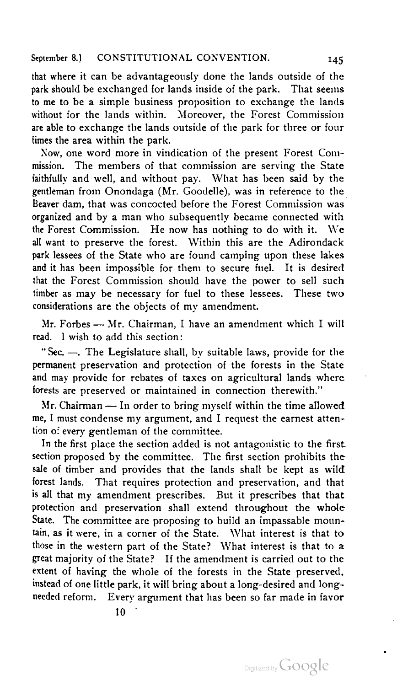that where it can be advantageously done the lands outside of the park should be exchanged for lands inside of the park. That seems to me to be a simple business proposition to exchange the lands without for the lands within. Moreover, the Forest Commission are able to exchange the lands outside of the park for three or four times the area within the park.

Now, one word more in vindication of the present Forest Commission. The members of that commission are serving the State faithfully and well, and without pay. What has been said by the gentleman from Onondaga (Mr. Goodelle), was in reference to the Beaver dam, that was concocted before the Forest Commission was organized and by a man who subsequently became connected with the Forest Commission. He now has nothing to do with it. We all want to preserve the forest. Within this are the Adirondack park lessees of the State who are found camping upon these lakes and it has been impossible for them to secure fuel. It is desired that the Forest Commission should have the power to sell such timber as may be necessary for fuel to these lessees. These two<br>considerations are the objects of my amendment.

Mr. Forbes - Mr. Chairman, I have an amendment which I will read. <sup>1</sup> wish to add this section:

" Sec. —. The Legislature shall, by suitable laws, provide for the permanent preservation and protection of the forests in the State and may provide for rebates of taxes on agricultural lands where iorests are preserved or maintained in connection therewith."

Mr. Chairman — In order to bring myself within the time allowed me, <sup>I</sup> must condense my argument, and <sup>I</sup> request the earnest atten tion of every gentleman of the committee.

In the first place the section added is not antagonistic to the first section proposed by the committee. The first section prohibits the sale of timber and provides that the lands shall be kept as wild forest lands. That requires protection and preservation, and that is all that my amendment prescribes. But it prescribes that that protection and preservation shall extend throughout the whole State. The committee are proposing to build an impassable moun-<br>tain, as it were, in a corner of the State. What interest is that to those in the western part of the State? What interest is that to a great majority of the State? If the amendment is carried out to the extent of having the whole of the forests in the State preserved, instead of one little park, it will bring about a long-desired and longneeded reform. Every argument that has been so far made in favor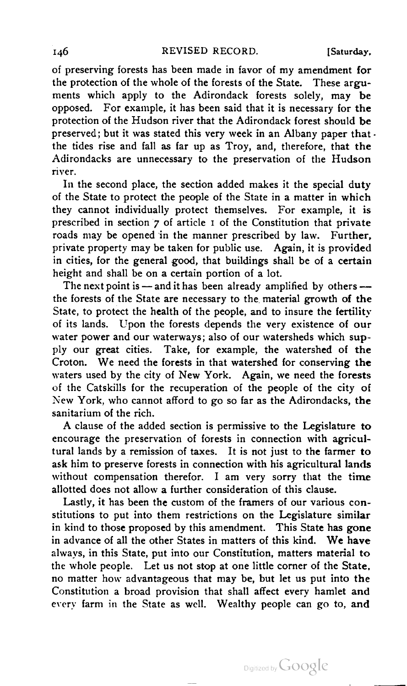of preserving forests has been made in favor of my amendment for the protection of the whole of the forests of the State. These argu ments which apply to the Adirondack forests solely, may be opposed. For example, it has been said that it is necessary for the protection of the Hudson river that the Adirondack forest should be preserved; but it was stated this very week in an Albany paper that  $\cdot$ the tides rise and fall as far up as Troy, and, therefore, that the Adirondacks are unnecessary to the preservation of the Hudson river. **In the second place, the second place** section added makes it the section added makes it the special duty

In the second place, the section added makes it the special duty of the State to protect the people of the State in a matter in which they cannot individually protect themselves. For example, it is prescribed in section 7 of article <sup>1</sup> of the Constitution that private roads may be opened in the manner prescribed by law. Further, private property may be taken for public use. Again, it is provided in cities, for the general good, that buildings shall be of a certain<br>height and shall be on a certain portion of a lot.

The next point is - and it has been already amplified by others -the forests of the State are necessary to the material growth of the State, to protect the health of the people, and to insure the fertility of its lands. Upon the forests depends the very existence of our water power and our waterways; also of our watersheds which sup ply our great cities. Take, for example, the watershed of the Croton. We need the forests in that watershed for conserving the waters used by the city of New York. Again, we need the forests of the Catskills for the recuperation of the people of the city of New York, who cannot afford to go so far as the Adirondacks, the stew Tork, who cannot ahord to go so far as the Adriondacks, the sanitarium of the rich.

A clause of the added section is permissive to the Legislature to encourage the preservation of forests in connection with agricul tural lands by a remission of taxes. It is not just to the farmer to ask him to preserve forests in connection with his agricultural lands without compensation therefor. <sup>I</sup> am very sorry that the time allotted does not allow a further consideration of this clause.

Lastly, it has been the custom of the framers of our various constitutions to put into them restrictions on the Legislature similar in kind to those proposed by this amendment. This State has gone in advance of all the other States in matters of this kind. We have always, in this State, put into our Constitution, matters material to the whole people. Let us not stop at one little corner of the State, no matter how advantageous that may be, but let us put into the Constitution a broad provision that shall affect every hamlet and every farm in the State as well. Wealthy people can go to, and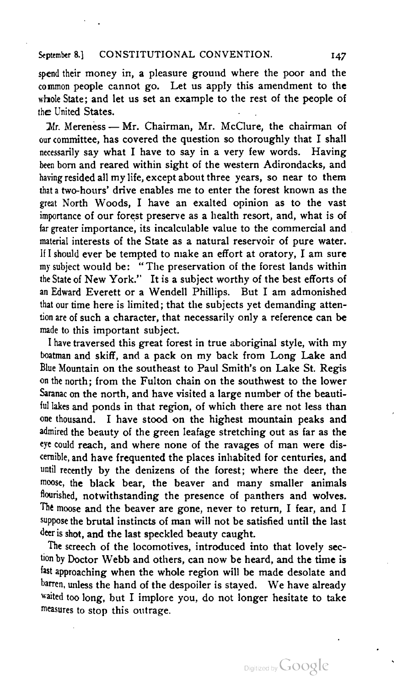spend their money in, a pleasure ground where the poor and the common people cannot go. Let us apply this amendment to the whole State: and let us set an example to the rest of the people of the United States.

 $Mr.$  Mereness — Mr. Chairman, Mr. McClure, the chairman of our committee, has covered the question so thoroughly that <sup>I</sup> shall necessarily say what <sup>I</sup> have to say in a very few words. Having been born and reared within sight of the western Adirondacks, and having resided all my life, except about three years, so near to them that <sup>a</sup> two-hours' drive enables me to enter the forest known as the great North Woods, <sup>I</sup> have an exalted opinion as to the vast importance of our forest preserve as a health resort, and, what is of far greater importance, its incalculable value to the commercial and material interests of the State as a natural reservoir of pure water. If I should ever be tempted to make an effort at oratory, <sup>I</sup> am sure my subject would be: "The preservation of the forest lands within the State of New York." It is <sup>a</sup> subject worthy of the best efforts of an Edward Everett or a Wendell Phillips. But <sup>I</sup> am admonished that our time here is limited; that the subjects yet demanding attention are of such a character, that necessarily only a reference can be made to this important subject.

I have traversed this great forest in true aboriginal style, with my boatman and skiff, and a pack on my back from Long Lake and Blue Mountain on the southeast to Paul Smith's on Lake St. Regis on the north ; from the Fulton chain on the southwest to the lower Saranac on the north, and have visited a large number of the beauti ful lakes and ponds in that region, of which there are not less than one thousand. <sup>I</sup> have stood on the highest mountain peaks and admired the beauty of the green leafage stretching out as far as the eve could reach, and where none of the ravages of man were dis cernible, and have frequented the places inhabited for centuries, and until recently by the denizens of the forest; where the deer, the moose, the black bear, the beaver and many smaller animals flourished, notwithstanding the presence of panthers and wolves. The moose and the beaver are gone, never to return, <sup>I</sup> fear, and <sup>I</sup> suppose the brutal instincts of man will not be satisfied until the last deer is shot, and the last speckled beauty caught.

The screech of the locomotives, introduced into that lovely section by Doctor Webb and others, can now be heard, and the time is fast approaching when the whole region will be made desolate and barren, unless the hand of the despoiler is stayed. We have already waited too long, but I implore you, do not longer hesitate to take measures to stop this outrage.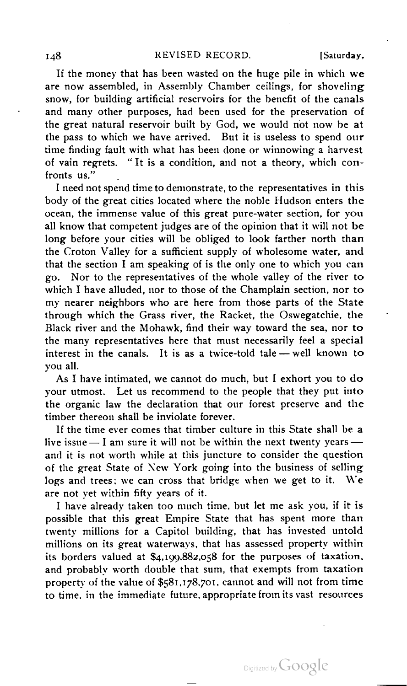If the money that has been wasted on the huge pile in which we are now assembled, in Assembly Chamber ceilings, for shoveling snow, for building artificial reservoirs for the benefit of the canals and many other purposes, had been used for the preservation of the great natural reservoir built by God, we would not now be at the pass to which we have arrived. But it is useless to spend our time finding fault with what has been done or winnowing a harvest of vain regrets. " It is a condition, and not a theory, which con fronts us."

<sup>I</sup> need not spend time to demonstrate, to the representatives in this body of the great cities located where the noble Hudson enters the ocean, the immense value of this great pure-water section, for you all know that competent judges are of the opinion that it will not be long before your cities will be obliged to look farther north than the Croton Valley for a sufficient supply of wholesome water, and that the section <sup>I</sup> am speaking of is the only one to which you can go. Nor to the representatives of the whole valley of the river to which <sup>I</sup> have alluded, nor to those of the Champlain section, nor to my nearer neighbors who are here from those parts of the State through which the Grass river, the Racket, the Oswegatchie, the Black river and the Mohawk, find their way toward the sea, nor to the many representatives here that must necessarily feel a special interest in the canals. It is as a twice-told tale — well known to  $\frac{1}{2}$  have interesting interesting  $\frac{1}{2}$  exhort  $\frac{1}{2}$  exhort  $\frac{1}{2}$ 

As I have intimated, we cannot do much, but I exhort you to do your utmost. Let us recommend to the people that they put into the organic law the declaration that our forest preserve and the timber thereon shall be inviolate forever.

If the time ever comes that timber culture in this State shall be a live issue  $-1$  am sure it will not be within the next twenty years  $$ and it is not worth while at this juncture to consider the question of the great State of New York going into the business of selling logs and trees; we can cross that bridge when we get to it. We are not vet within fifty years of it.

I have already taken too much time, but let me ask you, if it is possible that this great Empire State that has spent more than twenty millions for a Capitol building, that has invested untold millions on its great waterways, that has assessed property within its borders valued at \$4,199,882,058 for the purposes of taxation, and probably worth double that sum, that exempts from taxation property of the value of \$581,178,701, cannot and will not from time to time, in the immediate future, appropriate from its vast resources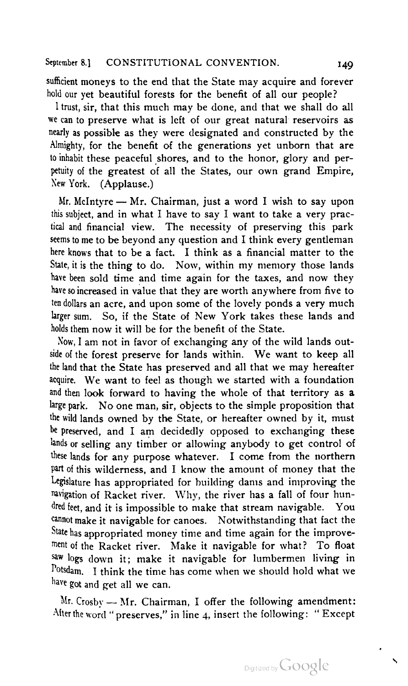sufficient moneys to the end that the State may acquire and forever hold our yet beautiful forests for the benefit of all our people?

<sup>1</sup> trust, sir, that this much may be done, and that we shall do all we can to preserve what is left of our great natural reservoirs as nearly as possible as they were designated and constructed by the Almighty, for the benefit of the generations yet unborn that are to inhabit these peaceful shores, and to the honor, glory and per petuity of the greatest of all the States, our own grand Empire,<br>New York. (Applause.)

Mr. McIntyre - Mr. Chairman, just a word I wish to say upon this subject, and in what <sup>I</sup> have to say <sup>I</sup> want to take a very prac tical and financial view. The necessity of preserving this park seems to me to be beyond any question and <sup>I</sup> think every gentleman here knows that to be a fact. <sup>I</sup> think as a financial matter to the State, it is the thing to do. Now, within my memory those lands have been sold time and time again for the taxes, and now they have so increased in value that they are worth anywhere from five to ten dollars an acre, and upon some of the lovely ponds a very much larger sum. So, if the State of New York takes these lands and holds them now it will be for the benefit of the State.

Now, I am not in favor of exchanging any of the wild lands out-<br>side of the forest preserve for lands within. We want to keep all the land that the State has preserved and all that we may hereafter acquire. We want to feel as though we started with <sup>a</sup> foundation and then look forward to having the whole of that territory as a large park. No one man, sir, objects to the simple proposition that the wild lands owned by the State, or hereafter owned by it, must be preserved, and I am decidedly opposed to exchanging these lands or selling any timber or allowing anybody to get control of these lands for any purpose whatever. <sup>I</sup> come from the northern part of this wilderness, and <sup>I</sup> know the amount of money that the Legislature has appropriated for building dams and improving the navigation of Racket river. Why, the river has a fall of four hun dred feet, and it is impossible to make that stream navigable. You cannot make it navigable for canoes. Notwithstanding that fact the State has appropriated money time and time again for the improve ment of the Racket river. Make it navigable for what? To float saw logs down it; make it navigable for lumbermen living in Potsdam. <sup>I</sup> think the time has come when we should hold what we have got and get all we can.

Mr. Crosby  $\longrightarrow$  Mr. Chairman, I offer the following amendment: After the word " preserves," in line 4, insert the following: " Except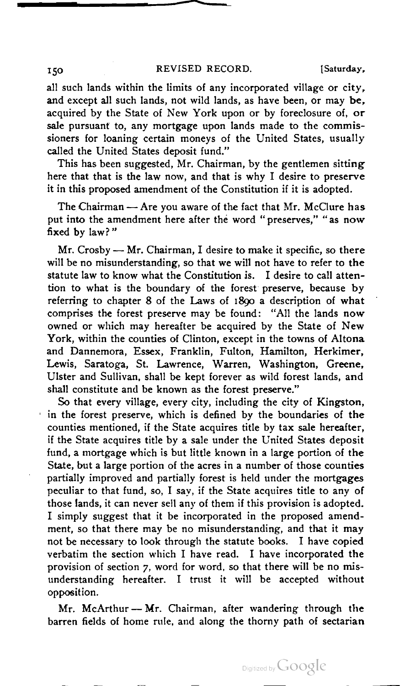# 150 REVISED RECORD. [Saturday,

all such lands within the limits of any incorporated village or city, and except all such lands, not wild lands, as have been, or may be, acquired by the State of New York upon or by foreclosure of, or sale pursuant to, any mortgage upon lands made to the commissioners for loaning certain moneys of the United States, usually called the United States deposit fund."

This has been suggested, Mr. Chairman, by the gentlemen sitting here that that is the law now, and that is why I desire to preserve<br>it in this proposed amendment of the Constitution if it is adopted.

The Chairman - Are you aware of the fact that Mr. McClure has put into the amendment here after the word " preserves," " as now fixed by law? "

 $Mr.$  Crosby  $\rightarrow$  Mr. Chairman, I desire to make it specific, so there will be no misunderstanding, so that we will not have to refer to the statute law to know what the Constitution is. <sup>I</sup> desire to call atten tion to what is the boundary of the forest preserve, because by referring to chapter 8 of the Laws of 1890 a description of what comprises the forest preserve may be found: "All the lands now owned or which may hereafter be acquired by the State of New York, within the counties of Clinton, except in the towns of Altona and Dannemora, Essex, Franklin, Fulton, Hamilton, Herkimer, Lewis, Saratoga, St. Lawrence, Warren, Washington, Greene, Ulster and Sullivan, shall be kept forever as wild forest lands, and shall constitute and be known as the forest preserve."

So that every village, every city, including the city of Kingston, in the forest preserve, which is defined by the boundaries of the counties mentioned, if the State acquires title by tax sale hereafter, if the State acquires title by a sale under the United States deposit fund, a mortgage which is but little known in a large portion of the State, but a large portion of the acres in a number of those counties partially improved and partially forest is held under the mortgages peculiar to that fund, so, <sup>I</sup> say, if the State acquires title to any of those lands, it can never sell any of them if this provision is adopted. <sup>I</sup> simply suggest that it be incorporated in the proposed amend ment, so that there may be no misunderstanding, and that it may not be necessary to look through the statute books. <sup>I</sup> have copied verbatim the section which <sup>I</sup> have read. <sup>I</sup> have incorporated the provision of section 7, word for word, so that there will be no mis understanding hereafter. I trust it will be accepted without<br>opposition.

Mr. McArthur - Mr. Chairman, after wandering through the barren fields of home rule, and along the thorny path of sectarian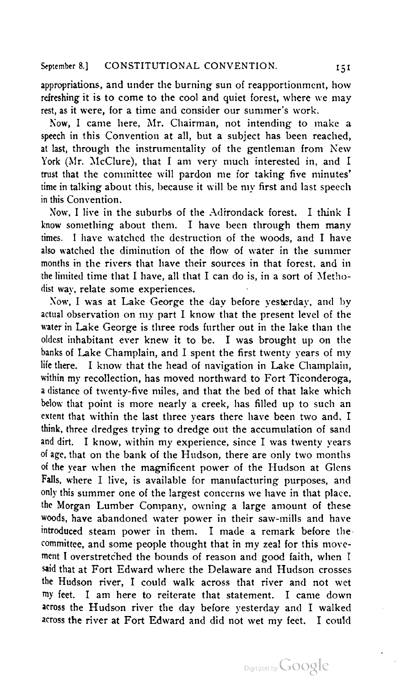appropriations, and under the burning sun of reapportionment, how refreshing it is to come to the cool and quiet forest, where we may rest, as it were, for a time and consider our summer's work.

Now, <sup>I</sup> came here, Mr. Chairman, not intending to make a speech in this Convention at all, but a subject has been reached, at last, through the instrumentality of the gentleman from New York (Mr. McClure), that <sup>I</sup> am very much interested in, and <sup>I</sup> trust that the committee will pardon me for taking five minutes' time in talking about this, because it will be my first and last speech in this Convention.

Now. I live in the suburbs of the Adirondack forest. I think I know something about them. <sup>I</sup> have been through them many times. <sup>I</sup> have watched the destruction of the woods, and <sup>I</sup> have also watched the diminution of the flow of water in the summer months in the rivers that have their sources in that forest, and in the limited time that <sup>I</sup> have, all that <sup>I</sup> can do is, in a sort of Metho dist way, relate some experiences.

Now, I was at Lake George the day before yesterday, and by actual observation on my part I know that the present level of the water in Lake George is three rods further out in the lake than the oldest inhabitant ever knew it to be. <sup>I</sup> was brought up on the banks of Lake Champlain, and <sup>I</sup> spent the first twenty years of my lite there. <sup>I</sup> know that the head of navigation in Lake Champlain, within my recollection, has moved northward to Fort Ticonderoga, <sup>a</sup> distance of twenty-five miles, and that the bed of that lake which below that point is more nearly a creek, has filled up to such an extent that within the last three years there have been two and, <sup>I</sup> think, three dredges trying to dredge out the accumulation of sand and dirt. <sup>I</sup> know, within my experience, since <sup>I</sup> was twenty years of age, that on the bank of the Hudson, there are only two months of the year when the magnificent power of the Hudson at Glens Falls, where <sup>I</sup> live, is available for manufacturing purposes, and only this summer one of the largest concerns we have in that place, the Morgan Lumber Company, owning <sup>a</sup> large amount of these woods, have abandoned water power in their saw-mills and have introduced steam power in them. I made a remark before the committee, and some people thought that in my zeal for this move ment <sup>I</sup> overstretched the bounds of reason and good faith, when <sup>I</sup> said that at Fort Edward where the Delaware and Hudson crosses the Hudson river, <sup>I</sup> could walk across that river and not wet my feet. <sup>I</sup> am here to reiterate that statement. <sup>I</sup> came down across the Hudson river the day before yesterday and <sup>I</sup> walked across the river at Fort Edward and did not wet my feet. <sup>I</sup> could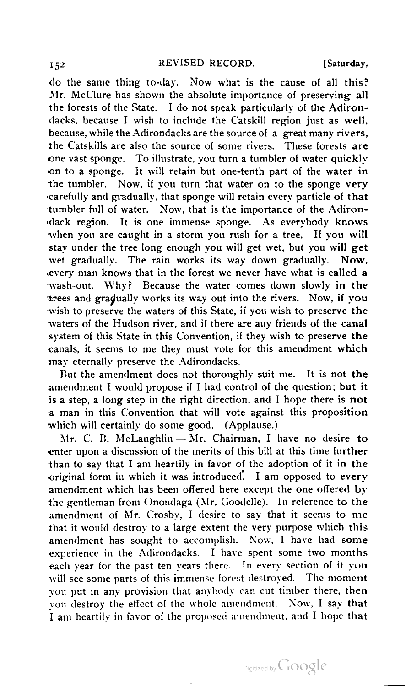do the same thing to-day. Now what is the cause of all this? Mr. McClure has shown the absolute importance of preserving all the forests of the State. <sup>I</sup> do not speak particularly of the Adiron dacks, because I wish to include the Catskill region just as well, because, while the Adirondacks are the source of a great many rivers. the Catskills are also the source of some rivers. These forests are one vast sponge. To illustrate, you turn <sup>a</sup> tumbler of water quickly ,on to a sponge. It will retain but one-tenth part of the water in the tumbler. Now, if you turn that water on to the sponge very •carefully and gradually, that sponge will retain every particle of that tumbler full of water. Now, that is the importance of the Adiron dack region. It is one immense sponge. As everybody knows when you are caught in a storm you rush for a tree. If you will stay under the tree long enough you will get wet, but you will get wet gradually. The rain works its way down gradually. Now, .every man knows that in the forest we never have what is called a wash-out. Why? Because the water comes down slowly in the trees and gradually works its way out into the rivers. Now, if you wish to preserve the waters of this State, if you wish to preserve the waters of the Hudson river, and if there are any friends of the canal system of this State in this Convention, if they wish to preserve the canals, it seems to me they must vote for this amendment which may eternally preserve the Adirondacks.

But the amendment does not thoroughly suit me. It is not the amendment <sup>I</sup> would propose if <sup>I</sup> had control of the question; but it is a step, a long step in the right direction, and <sup>I</sup> hope there is not a man in this Convention that will vote against this proposition<br>which will certainly do some good. (Applause.)

Mr. C. B. McLaughlin  $-$  Mr. Chairman, I have no desire to enter upon a discussion of the merits of this bill at this time further than to say that <sup>I</sup> am heartily in favor of the adoption of it in the •original form in which it was introduced. <sup>I</sup> am opposed to every amendment which has been offered here except the one offered by the gentleman from Onondaga (Mr. Goodelle). In reference to the amendment of Mr. Crosby, <sup>I</sup> desire to say that it seems to me that it would destroy to a large extent the very purpose which this amendment has sought to accomplish. Now, <sup>I</sup> have had some experience in the Adirondacks. <sup>I</sup> have spent some two months each year for the past ten years there. In every section of it you will see some parts of this immense forest destroyed. The moment vou put in any provision that anybody can cut timber there, then you destroy the effect of the whole amendment. Now, <sup>I</sup> say that <sup>I</sup> am heartily in favor of the proposed amendment, and <sup>I</sup> hope that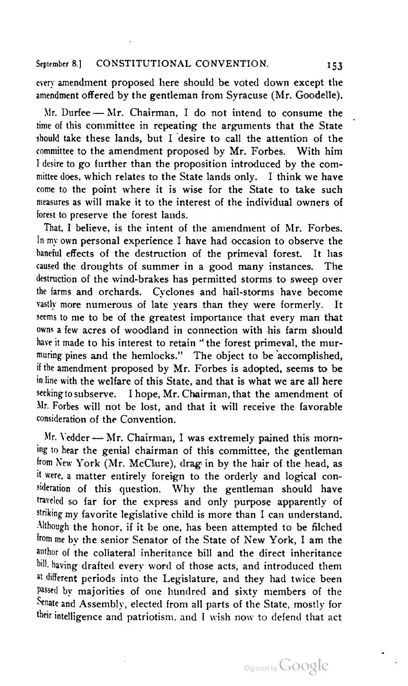every amendment proposed here should be voted down except the<br>amendment offered by the gentleman from Syracuse (Mr. Goodelle).

Mr. Durfee - Mr. Chairman, I do not intend to consume the time of this committee in repeating the arguments that the State should take these lands, but <sup>I</sup> desire to call the attention of the committee to the amendment proposed by Mr. Forbes. With him <sup>I</sup> desire to go further than the proposition introduced by the com mittee does, which relates to the State lands only. <sup>I</sup> think we have come to the point where it is wise for the State to take such measures as will make it to the interest of the individual owners of forest to preserve, the forest lands.

That, I believe, is the intent of the amendment of Mr. Forbes. In my own personal experience <sup>I</sup> have had occasion to observe the baneful effects of the destruction of the primeval forest. It has caused the droughts of summer in a good many instances. The destruction of the wind-brakes has permitted storms to sweep over the farms and orchards. Cyclones and hail-storms have become vastly more numerous of late years than they were formerly. seems to me to be of the greatest importance that every man that owns <sup>a</sup> few acres of woodland in connection with his farm should have it made to his interest to retain " the forest primeval, the mur muring pines and the hemlocks." The object to be accomplished, if the amendment proposed by Mr. Forbes is adopted, seems to be in line with the welfare of this State, and that is what we are all here seeking to subserve. <sup>I</sup> hope, Mr. Chairman, that the amendment of Mr. Forbes will not be lost, and that it will receive the favorable<br>consideration of the Convention

Mr. Vedder — Mr. Chairman, I was extremely pained this morning to hear the genial chairman of this committee, the gentleman from New York (Mr. McClure), drag in by the hair of the head, as it were, <sup>a</sup> matter entirely foreign to the orderly and logical con sideration of this question. Why the gentleman should have traveled so far for the express and only purpose apparently of striking my favorite legislative child is more than <sup>I</sup> can understand. Although the honor, if it be one, has been attempted to be filched from me by the senior Senator of the State of New York, <sup>I</sup> am the author of the collateral inheritance bill and the direct inheritance bill, having drafted every word of those acts, and introduced them at different periods into the Legislature, and they had twice been passed by majorities of one hundred and sixty members of the Senate and Assembly, elected from all parts of the State, mostly for their intelligence and patriotism, and <sup>1</sup> wish now to defend that act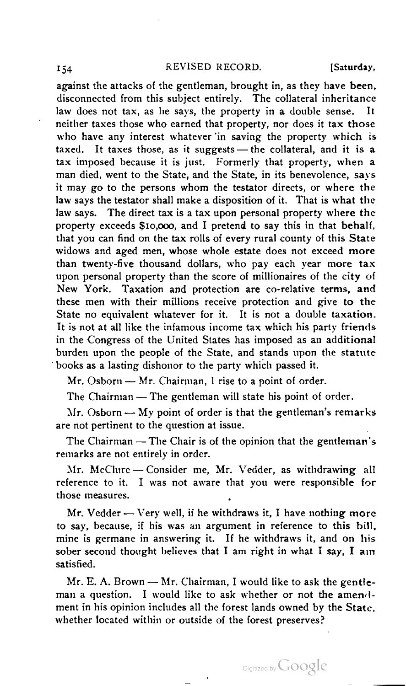## 154 REVISED RECORD. [Saturday,

against the attacks of the gentleman, brought in, as they have been, disconnected from this subject entirely. The collateral inheritance law does not tax, as he says, the property in a double sense. It neither taxes those who earned that property, nor does it tax those who have any interest whatever 'in saving the property which is<br>taxed. It taxes those, as it suggests — the collateral, and it is a taxed. It taxes those, as it suggests — the collateral, and it is a tax imposed because it is just. Formerly that property, when a man died, went to the State, and the State, in its benevolence, says it may go to the persons whom the testator directs, or where the law says the testator shall make a disposition of it. That is what the law says. The direct tax is a tax upon personal property where the property exceeds \$10,000, and <sup>I</sup> pretend to say this in that behalf, that you can find on the tax rolls of every rural county of this State widows and aged men, whose whole estate does not exceed more than twenty-five thousand dollars, who pay each year more tax upon personal property than the score of millionaires of the city of New York. Taxation and protection are co-relative terms, and these men with their millions receive protection and give to the State no equivalent whatever for it. It is not a double taxation. It is not at all like the infamous income tax which his party friends in the Congress of the United States has imposed as an additional burden upon the people of the State, and stands upon the statute<br>books as a lasting dishonor to the party which passed it.

Mr. Osborn - Mr. Chairman, I rise to a point of order.

The Chairman - The gentleman will state his point of order.

 $Mr. Osborn$  — My point of order is that the gentleman's remarks are not pertinent to the question at issue.

The Chairman - The Chair is of the opinion that the gentleman's remarks are not entirely in order.

Mr. McClure — Consider me, Mr. Vedder, as withdrawing all reference to it. I was not aware that you were responsible for<br>those measures.

Mr. Vedder  $-$  Very well, if he withdraws it, I have nothing more to say, because, if his was an argument in reference to this bill, mine is germane in answering it. If he withdraws it, and on his sober second thought believes that I am right in what I say, I am satisfied.

 $Mr. E. A. Brown - Mr. Chairman, I would like to ask the gentle$ man a question. I would like to ask whether or not the amendment in his opinion includes all the forest lands owned by the State, whether located within or outside of the forest preserves?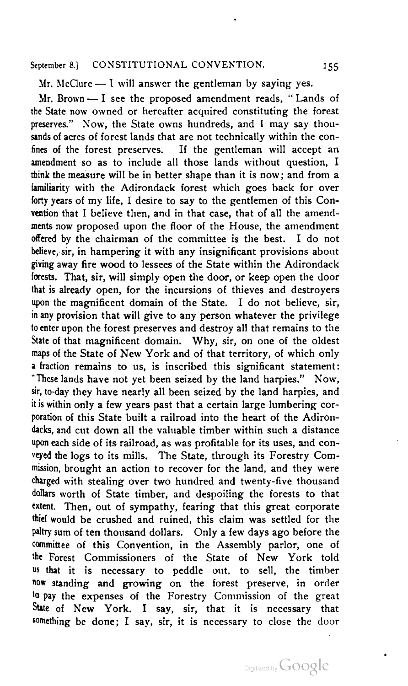Mr. McClure — I will answer the gentleman by saying yes.

 $Mr. Brown - I$  see the proposed amendment reads. "Lands of the State now owned or hereafter acquired constituting the forest preserves." Now, the State owns hundreds, and I may say thousands of acres of forest lands that are not technically within the con fines of the forest preserves. If the gentleman will accept an amendment so as to include all those lands without question, I think the measure will be in better shape than it is now; and from a familiarity with the Adirondack forest which goes back for over forty years of my life, <sup>I</sup> desire to say to the gentlemen of this Con vention that <sup>I</sup> believe then, and in that case, that of all the amend ments now proposed upon the floor of the House, the amendment offered by the chairman of the committee is the best. <sup>I</sup> do not believe, sir, in hampering it with any insignificant provisions about giving away fire wood to lessees of the State within the Adirondack forests. That, sir, will simply open the door, or keep open the door that is already open, for the incursions of thieves and destroyers upon the magnificent domain of the State. <sup>I</sup> do not believe, sir, in any provision that will give to any person whatever the privilege to enter upon the forest preserves and destroy all that remains to the State of that magnificent domain. Why, sir, on one of the oldest maps of the State of New York and of that territory, of which only <sup>a</sup> fraction remains to us, is inscribed this significant statement: "These lands have not yet been seized by the land harpies." Now, sir, to-day they have nearly all been seized by the land harpies, and it is within only a few years past that a certain large lumbering cor poration of this State built a railroad into the heart of the Adirondacks, and cut down all the valuable timber within such a distance upon each side of its railroad, as was profitable for its uses, and con veyed the logs to its mills. The State, through its Forestry Com mission, brought an action to recover for the land, and they were charged with stealing over two hundred and twenty-five thousand dollars worth of State timber, and despoiling the forests to that extent. Then, out of sympathy, fearing that this great corporate thief would be crushed and ruined, this claim was settled for the paltry sum of ten thousand dollars. Only a few days ago before the committee of this Convention, in the Assembly parlor, one of the Forest Commissioners of the State of New York told us that it is necessary to peddle out, to sell, the timber now standing and growing on the forest preserve, in order to pay the expenses of the Forestry Commission of the great State of New York. I say, sir, that it is necessary that something be done; <sup>I</sup> say, sir, it is necessary to close the door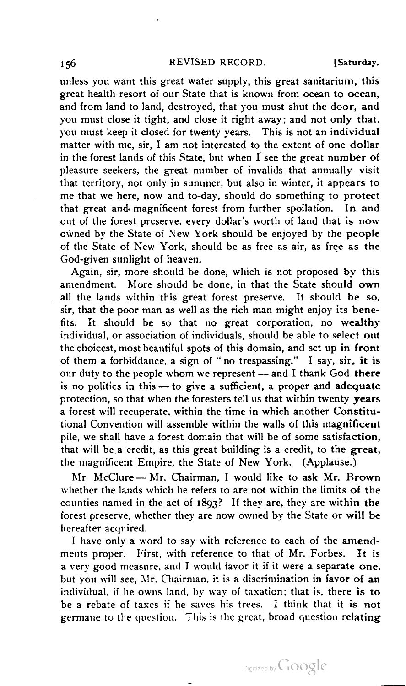unless you want this great water supply, this great sanitarium, this great health resort of our State that is known from ocean to ocean, and from land to land, destroyed, that you must shut the door, and you must close it tight, and close it right away; and not only that, you must keep it closed for twenty years. This is not an individual matter with me, sir, <sup>I</sup> am not interested to the extent of one dollar in the forest lands of this State, but when <sup>I</sup> see the great number of pleasure seekers, the great number of invalids that annually visit that territory, not only in summer, but also in winter, it appears to me that we here, now and to-day, should do something to protect that great and- magnificent forest from further spoilation. In and out of the forest preserve, every dollar's worth of land that is now owned by the State of New York should be enjoyed by the people of the State of New York, should be as free as air, as free as the God-given sunlight of heaven.

Again, sir, more should be done, which is not proposed by this amendment. More should be done, in that the State should own all the lands within this great forest preserve. It should be so. sir, that the poor man as well as the rich man might enjoy its bene fits. It should be so that no great corporation, no wealthy individual, or association of individuals, should be able to select out the choicest, most beautiful spots of this domain, and set up in front of them a forbiddance. a sign of " no trespassing." <sup>I</sup> say, sir, it is our duty to the people whom we represent — and <sup>I</sup> thank God there our duty to the people whom we represent — and I thank God there is no politics in this — to give a sufficient, a proper and adequate protection, so that when the foresters tell us that within twenty years a forest will recuperate, within the time in which another Constitu tional Convention will assemble within the walls of this magnificent pile, we shall have a forest domain that will be of some satisfaction, that will be a credit, as this great building is a credit, to the great,<br>the magnificent Empire, the State of New York. (Applause.)

Mr. McClure -- Mr. Chairman, I would like to ask Mr. Brown whether the lands which he refers to are not within the limits of the counties named in the act of 1893? If they are, they are within the forest preserve, whether they are now owned by the State or will be hereafter acquired.

I have only a word to say with reference to each of the amendments proper. First, with reference to that of Mr. Forbes. It is a very good measure, and <sup>I</sup> would favor it if it were a separate one. but you will see, Mr. Chairman, it is a discrimination in favor of an individual, if he owns land, by way of taxation; that is, there is to be a rebate of taxes if he saves his trees. <sup>I</sup> think that it is not germane to the question. This is the great, broad question relating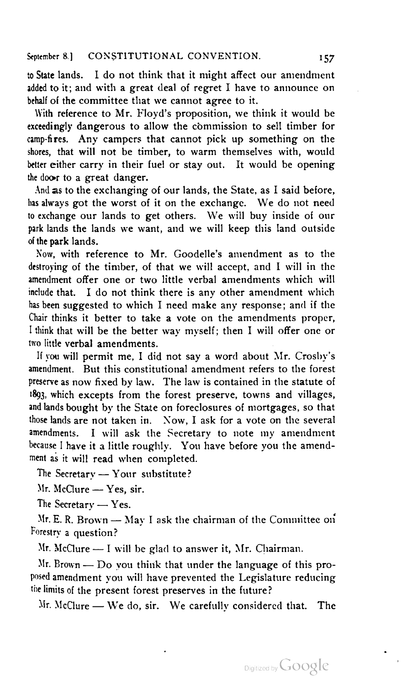to State lands. <sup>I</sup> do not think that it might affect our amendment added to it; and with a great deal of regret <sup>I</sup> have to announce on behalf of the committee that we cannot agree to it.

With reference to Mr. Floyd's proposition, we think it would be exceedingly dangerous to allow the commission to sell timber for camp-fires. Any campers that cannot pick up something on the shores, that will not be timber, to warm themselves with, would better either carry in their fuel or stay out. It would be opening the door to a great danger.

And as to the exchanging of our lands, the State, as I said before, has always got the worst of it on the exchange. We do not need to exchange our lands to get others. We will buy inside of our park lands the lands we want, and we will keep this land outside of the park lands.

Now, with reference to Mr. Goodelle's amendment as to the destroying of the timber, of that we will accept, and <sup>I</sup> will in the amendment offer one or two little verbal amendments which will include that. <sup>I</sup> do not think there is any other amendment which has been suggested to which I need make any response; and if the Chair thinks it better to take a vote on the amendments proper, I think that will be the better way myself; then I will offer one or two little verbal amendments.

If you will permit me, I did not say a word about Mr. Crosby's amendment. But this constitutional amendment refers to the forest preserve as now fixed by law. The law is contained in the statute of 1893, which excepts from the forest preserve, towns and villages, and lands bought by the State on foreclosures of mortgages, so that those lands are not taken in. Now, <sup>I</sup> ask for a vote on the several amendments. <sup>I</sup> will ask the Secretary to note my amendment  $\frac{1}{2}$  have it a little roughly. You have before you the amend-<br>because I have it a little roughly. You have before you the amend-<br>ment as it will read when completed.

The Secretary - Your substitute?

Mr. McClure - Yes, sir.

The Secretary - Yes.

Mr. E. R. Brown — May I ask the chairman of the Committee on<br>Forestry a question?

 $Mr.$  McClure  $- I$  will be glad to answer it, Mr. Chairman.

 $Mr. Brown - Do$  vou think that under the language of this proposed amendment you will have prevented the Legislature reducing the limits of the present forest preserves in the future?<br>Mr. McClure — We do, sir. We carefully considered that. The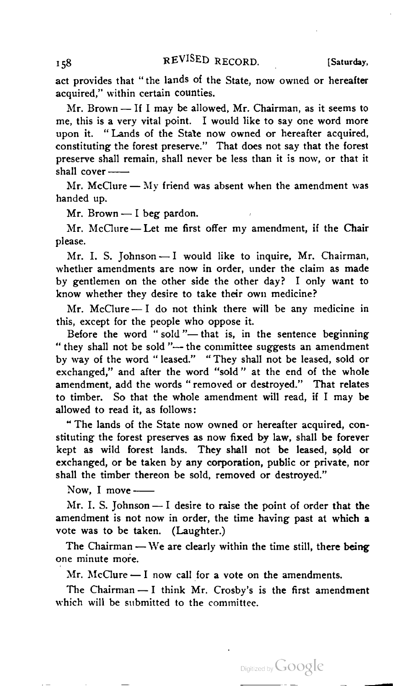act provides that "the lands of the State, now owned or hereafter<br>acquired," within certain counties.

Mr. Brown — If I may be allowed, Mr. Chairman, as it seems to me, this is a very vital point. I would like to say one word more upon it. " Lands of the State now owned or hereafter acquired, constituting the forest preserve." That does not say that the forest preserve shall remain, shall never be less than it is now, or that it shall cover —

Mr. McClure — My friend was absent when the amendment was handed up.

Mr. Brown  $-$  I beg pardon.

Mr. McClure — Let me first offer my amendment, if the Chair please.

Mr. I. S. Johnson - I would like to inquire, Mr. Chairman, whether amendments are now in order, under the claim as made by gentlemen on the other side the other day? I only want to know whether they desire to take their own medicine?

Mr. McClure  $- I$  do not think there will be any medicine in this, except for the people who oppose it.

Before the word "sold"— that is, in the sentence beginning "they shall not be sold"— the committee suggests an amendment by way of the word " leased." " They shall not be leased, sold or exchanged," and after the word "sold " at the end of the whole amendment, add the words " removed or destroyed." That relates to timber. So that the whole amendment will read, if <sup>I</sup> may be allowed to read it, as follows:

" The lands of the State now owned or hereafter acquired, con stituting the forest preserves as now fixed by law, shall be forever kept as wild forest lands. They shall not be leased, sold or exchanged, or be taken by any corporation, public or private, nor shall the timber thereon be sold, removed or destroyed."<br>Now, I move —

amendment is not now in order, the time having past at which a<br>vote was to be taken. (Laughter.)

The Chairman — We are clearly within the time still, there being one minute more.

Mr. McClure  $-1$  now call for a vote on the amendments.

The Chairman - I think Mr. Crosby's is the first amendment which will be submitted to the committee.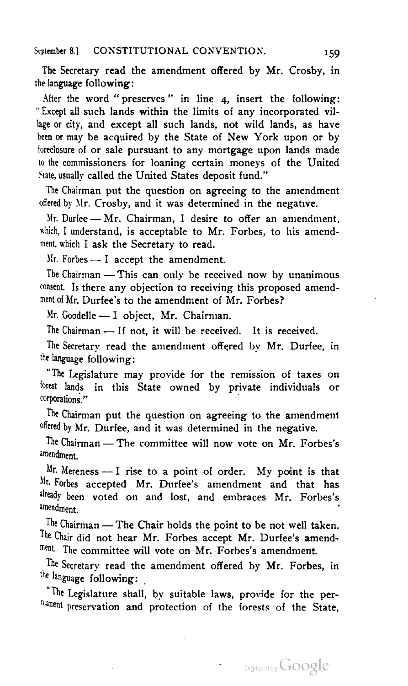The Secretary read the amendment offered by Mr. Crosby, in the language following:

After the word "preserves" in line 4, insert the following: " Except all such lands within the limits of any incorporated vil lage or city, and except all such lands, not wild lands, as have been or may be acquired by the State of New York upon or by foreclosure of or sale pursuant to any mortgage upon lands made to the commissioners for loaning certain moneys of the United State, usually called the United States deposit fund."

The Chairman put the question on agreeing to the amendment offered by Mr. Crosby, and it was determined in the negative.

Mr. Durfee — Mr. Chairman, <sup>I</sup> desire to offer an amendment, which, I understand, is acceptable to Mr. Forbes, to his amendment, which <sup>I</sup> ask the Secretary to read.

 $Mr.$  Forbes — I accept the amendment.

consent. Is there any objection to receiving this proposed amend-<br>ment of Mr. Durfee's to the amendment of Mr. Forbes?

Mr. Goodelle - I object, Mr. Chairman.

The Chairman - If not, it will be received. It is received.

The Secretary read the amendment offered by Mr. Durfee, in the language following:

"The Legislature may provide for the remission of taxes on lorest lands in this State owned by private individuals or corporations'."

The Chairman put the question on agreeing to the amendment<br>offered by Mr. Durfee, and it was determined in the negative.

The Chairman - The committee will now vote on Mr. Forbes's amendment.

Mr. Mereness — <sup>I</sup> rise to <sup>a</sup> point of order. My point is that Mr. Forbes accepted Mr. Durfee's amendment and that has already been voted on and lost, and embraces Mr. Forbes's stern voice on and lost, and embraces mi. I dibes s amendment.<br>The Chairman — The Chair holds the point to be not well taken.

The Chair did not hear Mr. Forbes accept Mr. Durfee's amendment. The committee will vote on Mr. Forbes's amendment.

The Secretary read the amendment offered by Mr. Forbes, in the language following:

<sup>"The Legislature shall, by suitable laws, provide for the pern:anent preservation and protection of the forests of the State,</sup>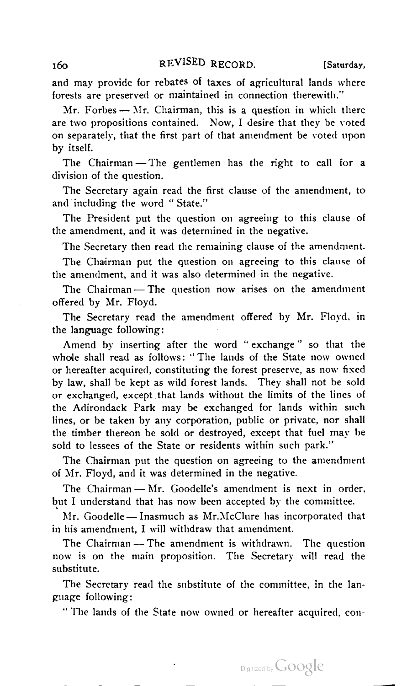160 REVISED RECORD. [Saturday,

and may provide for rebates of taxes of agricultural lands where forests are preserved or maintained in connection therewith."

 $Mr.$  Forbes  $- Mr.$  Chairman, this is a question in which there are two propositions contained. Now, <sup>I</sup> desire that they he voted on separately, that the first part of that amendment be voted upon<br>by itself.

The Chairman - The gentlemen has the right to call for a division of the question.

The Secretary again read the first clause of the amendment, to and including the word "State."

The President put the question on agreeing to this clause of the amendment, and it was determined in the negative.

The Secretary then read the remaining clause of the amendment.

The Chairman put the question on agreeing to this clause of the amendment, and it was also determined in the negative.

The Chairman – The question now arises on the amendment offered by Mr. Floyd.

The Secretary read the amendment offered by Mr. Floyd, in the language following:

Amend by inserting after the word "exchange" so that the whole shall read as follows: "The lands of the State now owned or hereafter acquired, constituting the forest preserve, as now fixed by law, shall be kept as wild forest lands. They shall not be sold or exchanged, except that lands without the limits of the lines of the Adirondack Park may be exchanged for lands within such lines, or be taken by any corporation, public or private, nor shall the timber thereon be sold or destroyed, except that fuel may be sold to lessees of the State or residents within such park."

The Chairman put the question on agreeing to the amendment<br>of Mr. Floyd, and it was determined in the negative.

The Chairman — Mr. Goodelle's amendment is next in order, but I understand that has now been accepted by the committee.

Mr. Goodelle — Inasmuch as  $Mr.McCl$  his amendment and his amendment. I will withdraw that amendment.

The Chairman - The amendment is withdrawn. The question now is on the main proposition. The Secretary will read the substitute.

The Secretary read the substitute of the committee, in the language following:

" The lands of the State now owned or hereafter acquired, con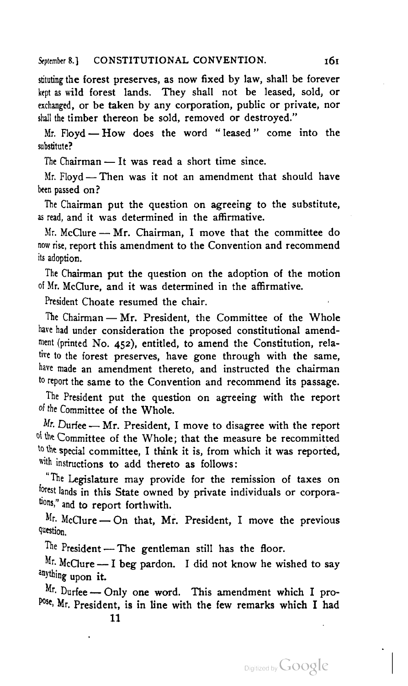stituting the forest preserves, as now fixed by law, shall be forever kept as wild forest lands. They shall not be leased, sold, or exchanged, or be taken by any corporation, public or private, nor shall the timber thereon be sold, removed or destroyed." all the timber thereon be sold, removed or destroyed."<br>Mr. Floyd — How does the word "leased" come into the

Mr. Floyd — How does the word "leased"<br>substitute?

The Chairman — It was read a short time since.<br>Mr. Floyd — Then was it not an amendment that should have been passed on?

The Chairman put the question on agreeing to the substitute, as read, and it was determined in the affirmative.

Mr. McClure  $-$  Mr. Chairman, I move that the committee do now rise, report this amendment to the Convention and recommend its adoption.

The Chairman put the question on the adoption of the motion of Mr. McClure, and it was determined in the affirmative.

President Choate resumed the chair.

The Chairman — Mr. President, the Committee of the Whole<br>have had under consideration the proposed constitutional amendment (printed No. 452), entitled, to amend the Constitution, rela tive to the forest preserves, have gone through with the same, have made an amendment thereto, and instructed the chairman to report the same to the Convention and recommend its passage.

The President put the question on agreeing with the report of the Committee of the Whole.

Mr. Durfee — Mr. President, I move to disagree with the report of the Committee of the Whole; that the measure be recommitted to the special committee, I think it is, from which it was reported, with instructions to add thereto as follows:

The Legislature may provide for the remission of taxes on forest lands in this State owned by private individuals or corporations." and to report forthwith.

 $Mr.$  McClure — On that, Mr. President, I move the previous question.

President — The gentleman still has the floor.<br>McClure — I beg pardon. I did not know he wished to say

 $\frac{M_r}{n}$ . McClure — I beg pardon. I did not know he wished to say

Mr. Durfee — Only one word. This amendment which I pro-<br>Pose, Mr. President, is in line with the few remarks which I had

11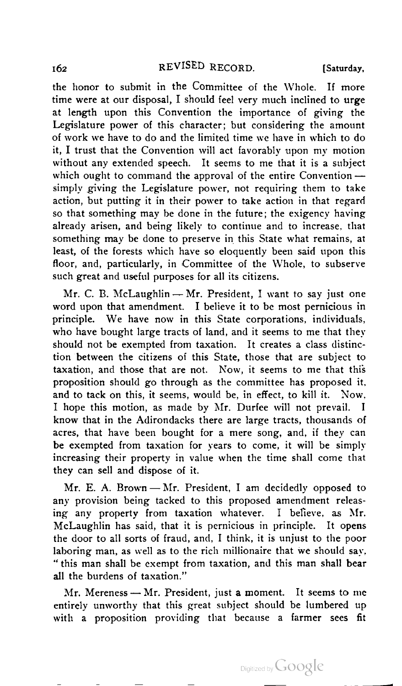# REVISED RECORD. [Saturday,

the honor to submit in the Committee of the Whole. If more time were at our disposal, <sup>I</sup> should feel very much inclined to urge at length upon this Convention the importance of giving the Legislature power of this character; but considering the amount of work we have to do and the limited time we have in which to do it, <sup>I</sup> trust that the Convention will act favorably upon my motion without any extended speech. It seems to me that it is a subject which ought to command the approval of the entire Convention simply giving the Legislature power, not requiring them to take action, but putting it in their power to take action in that regard so that something may be done in the future; the exigency having already arisen, and being likely to continue and to increase, that something may be done to preserve in this State what remains, at least, of the forests which have so eloquently been said upon this floor, and, particularly, in Committee of the Whole, to subserve<br>such great and useful purposes for all its citizens.

Mr. C. B. McLaughlin - Mr. President, I want to say just one word upon that amendment. I believe it to be most pernicious in principle. We have now in this State corporations, individuals, who have bought large tracts of land, and it seems to me that they should not be exempted from taxation. It creates a class distinc tion between the citizens of this State, those that are subject to taxation, and those that are not. Now, it seems to me that this proposition should go through as the committee has proposed it, and to tack on this, it seems, would be, in effect, to kill it. Now, <sup>I</sup> hope this motion, as made by Mr. Durfee will not prevail. <sup>I</sup> know that in the Adirondacks there are large tracts, thousands of acres, that have been bought for a mere song, and, if they can be exempted from taxation for years to come, it will be simply increasing their property in value when the time shall come that they can sell and dispose of it.

Mr. E. A. Brown — Mr. President, I am decidedly opposed to any provision being tacked to this proposed amendment releasing any property from taxation whatever. <sup>I</sup> believe, as Mr. McLaughlin has said, that it is pernicious in principle. It opens the door to all sorts of fraud, and, <sup>I</sup> think, it is unjust to the poor laboring man, as well as to the rich millionaire that we should say. " this man shall be exempt from taxation, and this man shall bear all the burdens of taxation."

Mr. Mereness  $-$  Mr. President, just a moment. It seems to me entirely unworthy that this great subject should be lumbered up with a proposition providing that because a farmer sees fit

162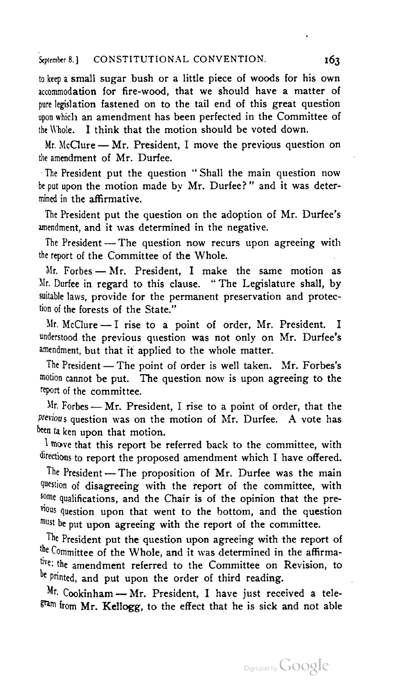to keep <sup>a</sup> small sugar bush or a little piece of woods for his own accommodation for fire-wood, that we should have a matter of pure legislation fastened on to the tail end of this great question .<br>upon which an amendment has been perfected in the Committee of<br>the Whole. I think that the motion should be voted down.

Mr. McClure — Mr. President, I move the previous question on the amendment of Mr. Durfee.

The President put the question "Shall the main question now be put upon the motion made by Mr. Durfee?" and it was deter mined in the affirmative.

The President put the question on the adoption of Mr. Durfee's<br>amendment, and it was determined in the negative.

The President - The question now recurs upon agreeing with the report of the Committee of the Whole.

Mr. Forbes — Mr. President, <sup>I</sup> make the same motion as Mr. Durfee in regard to this clause. " The Legislature shall, by suitable laws, provide for the permanent preservation and protec tion of the forests of the State."

Mr. McClure — <sup>I</sup> rise to <sup>a</sup> point of order, Mr. President. <sup>I</sup> understood the previous question was not only on Mr. Durfee's<br>amendment but that it applied to the whole matter.

The President — The point of order is well taken. Mr. Forbes's motion cannot be put. The question now is upon agreeing to the report of the committee.

Mr. Forbes — Mr. President, <sup>I</sup> rise to <sup>a</sup> point of order, that the previous question was on the motion of Mr. Durfee. A vote has been ta ken upon that motion.

 $\frac{1}{2}$  move that this report be referred back to the committee, with directions to report the proposed amendment which I have offered.

The President — The proposition of Mr. Durfee was the main question of disagreeing with the report of the committee, with some qualifications, and the Chair is of the opinion that the previous question upon that went to the bottom, and the question must be put upon agreeing with the report of the committee.

The President put the question upon agreeing with the report of the Committee of the Whole, and it was determined in the affirmative; the amendment referred to the Committee on Revision, to e Printed, and put upon the order of third reading.<br>
<sup>Mr.</sup> Cookinham — Mr. President, I have just received a tele-

Mr. Cookinham — Mr. President, I have just received a tele- $F^{\tan}$  from Mr. Kellogg, to the effect that he is sick and not able